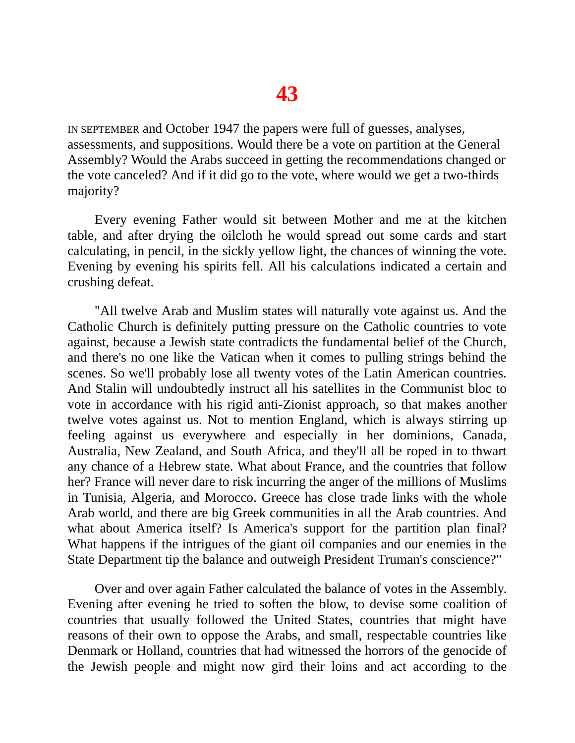IN SEPTEMBER and October 1947 the papers were full of guesses, analyses, assessments, and suppositions. Would there be a vote on partition at the General Assembly? Would the Arabs succeed in getting the recommendations changed or the vote canceled? And if it did go to the vote, where would we get a two-thirds majority?

Every evening Father would sit between Mother and me at the kitchen table, and after drying the oilcloth he would spread out some cards and start calculating, in pencil, in the sickly yellow light, the chances of winning the vote. Evening by evening his spirits fell. All his calculations indicated a certain and crushing defeat.

"All twelve Arab and Muslim states will naturally vote against us. And the Catholic Church is definitely putting pressure on the Catholic countries to vote against, because a Jewish state contradicts the fundamental belief of the Church, and there's no one like the Vatican when it comes to pulling strings behind the scenes. So we'll probably lose all twenty votes of the Latin American countries. And Stalin will undoubtedly instruct all his satellites in the Communist bloc to vote in accordance with his rigid anti-Zionist approach, so that makes another twelve votes against us. Not to mention England, which is always stirring up feeling against us everywhere and especially in her dominions, Canada, Australia, New Zealand, and South Africa, and they'll all be roped in to thwart any chance of a Hebrew state. What about France, and the countries that follow her? France will never dare to risk incurring the anger of the millions of Muslims in Tunisia, Algeria, and Morocco. Greece has close trade links with the whole Arab world, and there are big Greek communities in all the Arab countries. And what about America itself? Is America's support for the partition plan final? What happens if the intrigues of the giant oil companies and our enemies in the State Department tip the balance and outweigh President Truman's conscience?"

Over and over again Father calculated the balance of votes in the Assembly. Evening after evening he tried to soften the blow, to devise some coalition of countries that usually followed the United States, countries that might have reasons of their own to oppose the Arabs, and small, respectable countries like Denmark or Holland, countries that had witnessed the horrors of the genocide of the Jewish people and might now gird their loins and act according to the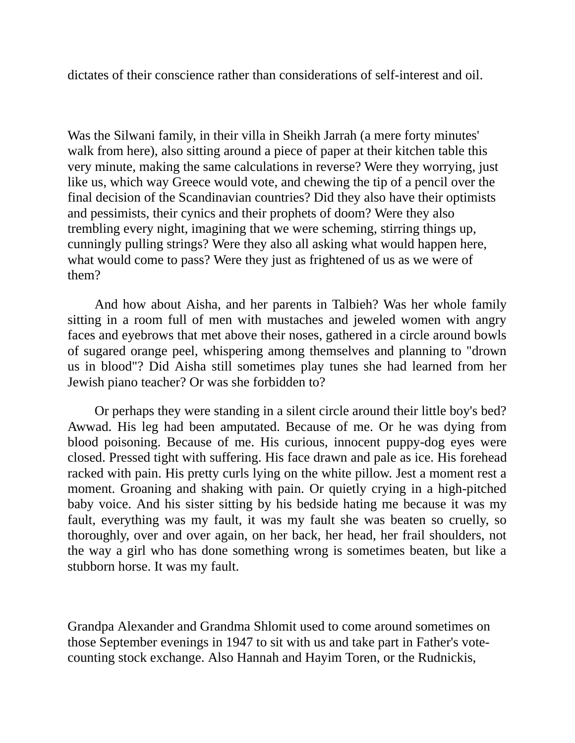dictates of their conscience rather than considerations of self-interest and oil.

Was the Silwani family, in their villa in Sheikh Jarrah (a mere forty minutes' walk from here), also sitting around a piece of paper at their kitchen table this very minute, making the same calculations in reverse? Were they worrying, just like us, which way Greece would vote, and chewing the tip of a pencil over the final decision of the Scandinavian countries? Did they also have their optimists and pessimists, their cynics and their prophets of doom? Were they also trembling every night, imagining that we were scheming, stirring things up, cunningly pulling strings? Were they also all asking what would happen here, what would come to pass? Were they just as frightened of us as we were of them?

And how about Aisha, and her parents in Talbieh? Was her whole family sitting in a room full of men with mustaches and jeweled women with angry faces and eyebrows that met above their noses, gathered in a circle around bowls of sugared orange peel, whispering among themselves and planning to "drown us in blood"? Did Aisha still sometimes play tunes she had learned from her Jewish piano teacher? Or was she forbidden to?

Or perhaps they were standing in a silent circle around their little boy's bed? Awwad. His leg had been amputated. Because of me. Or he was dying from blood poisoning. Because of me. His curious, innocent puppy-dog eyes were closed. Pressed tight with suffering. His face drawn and pale as ice. His forehead racked with pain. His pretty curls lying on the white pillow. Jest a moment rest a moment. Groaning and shaking with pain. Or quietly crying in a high-pitched baby voice. And his sister sitting by his bedside hating me because it was my fault, everything was my fault, it was my fault she was beaten so cruelly, so thoroughly, over and over again, on her back, her head, her frail shoulders, not the way a girl who has done something wrong is sometimes beaten, but like a stubborn horse. It was my fault.

Grandpa Alexander and Grandma Shlomit used to come around sometimes on those September evenings in 1947 to sit with us and take part in Father's votecounting stock exchange. Also Hannah and Hayim Toren, or the Rudnickis,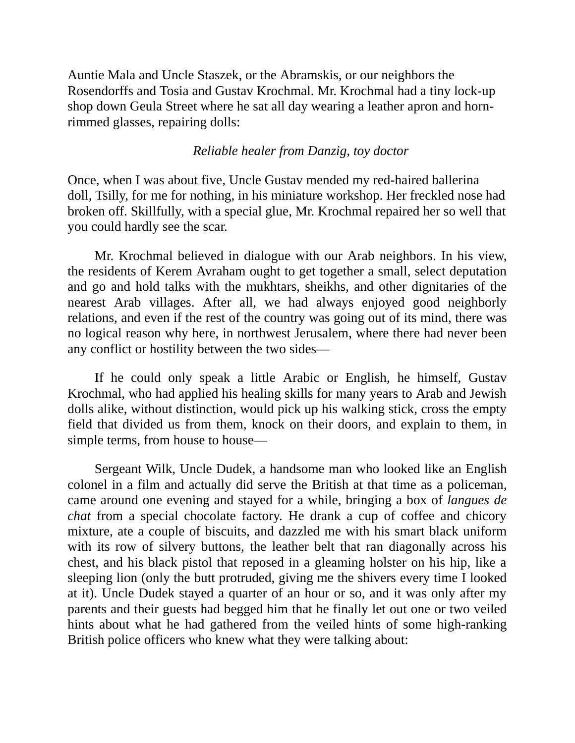Auntie Mala and Uncle Staszek, or the Abramskis, or our neighbors the Rosendorffs and Tosia and Gustav Krochmal. Mr. Krochmal had a tiny lock-up shop down Geula Street where he sat all day wearing a leather apron and hornrimmed glasses, repairing dolls:

## *Reliable healer from Danzig, toy doctor*

Once, when I was about five, Uncle Gustav mended my red-haired ballerina doll, Tsilly, for me for nothing, in his miniature workshop. Her freckled nose had broken off. Skillfully, with a special glue, Mr. Krochmal repaired her so well that you could hardly see the scar.

Mr. Krochmal believed in dialogue with our Arab neighbors. In his view, the residents of Kerem Avraham ought to get together a small, select deputation and go and hold talks with the mukhtars, sheikhs, and other dignitaries of the nearest Arab villages. After all, we had always enjoyed good neighborly relations, and even if the rest of the country was going out of its mind, there was no logical reason why here, in northwest Jerusalem, where there had never been any conflict or hostility between the two sides—

If he could only speak a little Arabic or English, he himself, Gustav Krochmal, who had applied his healing skills for many years to Arab and Jewish dolls alike, without distinction, would pick up his walking stick, cross the empty field that divided us from them, knock on their doors, and explain to them, in simple terms, from house to house—

Sergeant Wilk, Uncle Dudek, a handsome man who looked like an English colonel in a film and actually did serve the British at that time as a policeman, came around one evening and stayed for a while, bringing a box of *langues de chat* from a special chocolate factory. He drank a cup of coffee and chicory mixture, ate a couple of biscuits, and dazzled me with his smart black uniform with its row of silvery buttons, the leather belt that ran diagonally across his chest, and his black pistol that reposed in a gleaming holster on his hip, like a sleeping lion (only the butt protruded, giving me the shivers every time I looked at it). Uncle Dudek stayed a quarter of an hour or so, and it was only after my parents and their guests had begged him that he finally let out one or two veiled hints about what he had gathered from the veiled hints of some high-ranking British police officers who knew what they were talking about: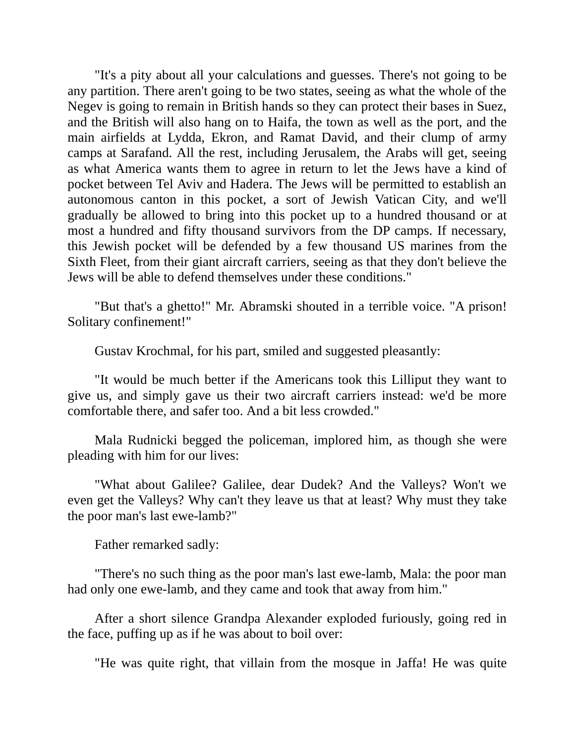"It's a pity about all your calculations and guesses. There's not going to be any partition. There aren't going to be two states, seeing as what the whole of the Negev is going to remain in British hands so they can protect their bases in Suez, and the British will also hang on to Haifa, the town as well as the port, and the main airfields at Lydda, Ekron, and Ramat David, and their clump of army camps at Sarafand. All the rest, including Jerusalem, the Arabs will get, seeing as what America wants them to agree in return to let the Jews have a kind of pocket between Tel Aviv and Hadera. The Jews will be permitted to establish an autonomous canton in this pocket, a sort of Jewish Vatican City, and we'll gradually be allowed to bring into this pocket up to a hundred thousand or at most a hundred and fifty thousand survivors from the DP camps. If necessary, this Jewish pocket will be defended by a few thousand US marines from the Sixth Fleet, from their giant aircraft carriers, seeing as that they don't believe the Jews will be able to defend themselves under these conditions."

"But that's a ghetto!" Mr. Abramski shouted in a terrible voice. "A prison! Solitary confinement!"

Gustav Krochmal, for his part, smiled and suggested pleasantly:

"It would be much better if the Americans took this Lilliput they want to give us, and simply gave us their two aircraft carriers instead: we'd be more comfortable there, and safer too. And a bit less crowded."

Mala Rudnicki begged the policeman, implored him, as though she were pleading with him for our lives:

"What about Galilee? Galilee, dear Dudek? And the Valleys? Won't we even get the Valleys? Why can't they leave us that at least? Why must they take the poor man's last ewe-lamb?"

Father remarked sadly:

"There's no such thing as the poor man's last ewe-lamb, Mala: the poor man had only one ewe-lamb, and they came and took that away from him."

After a short silence Grandpa Alexander exploded furiously, going red in the face, puffing up as if he was about to boil over:

"He was quite right, that villain from the mosque in Jaffa! He was quite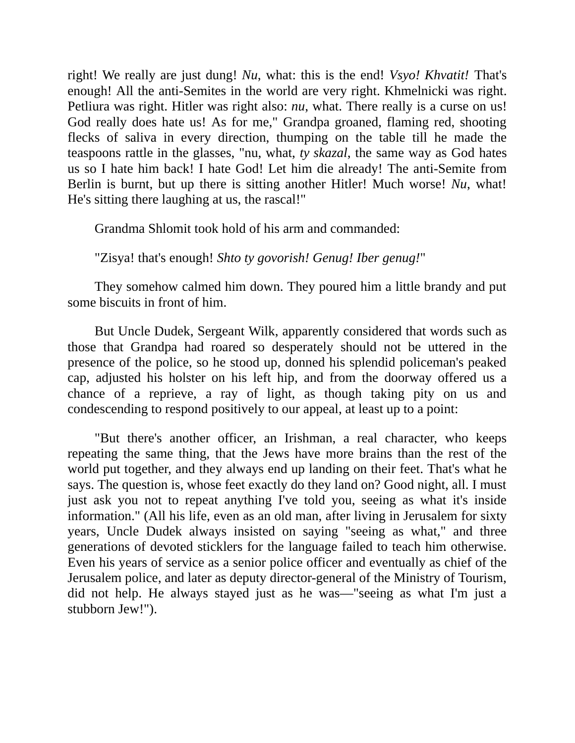right! We really are just dung! *Nu*, what: this is the end! *Vsyo! Khvatit!* That's enough! All the anti-Semites in the world are very right. Khmelnicki was right. Petliura was right. Hitler was right also: *nu*, what. There really is a curse on us! God really does hate us! As for me," Grandpa groaned, flaming red, shooting flecks of saliva in every direction, thumping on the table till he made the teaspoons rattle in the glasses, "nu, what, *ty skazal*, the same way as God hates us so I hate him back! I hate God! Let him die already! The anti-Semite from Berlin is burnt, but up there is sitting another Hitler! Much worse! *Nu*, what! He's sitting there laughing at us, the rascal!"

Grandma Shlomit took hold of his arm and commanded:

"Zisya! that's enough! *Shto ty govorish! Genug! Iber genug!*"

They somehow calmed him down. They poured him a little brandy and put some biscuits in front of him.

But Uncle Dudek, Sergeant Wilk, apparently considered that words such as those that Grandpa had roared so desperately should not be uttered in the presence of the police, so he stood up, donned his splendid policeman's peaked cap, adjusted his holster on his left hip, and from the doorway offered us a chance of a reprieve, a ray of light, as though taking pity on us and condescending to respond positively to our appeal, at least up to a point:

"But there's another officer, an Irishman, a real character, who keeps repeating the same thing, that the Jews have more brains than the rest of the world put together, and they always end up landing on their feet. That's what he says. The question is, whose feet exactly do they land on? Good night, all. I must just ask you not to repeat anything I've told you, seeing as what it's inside information." (All his life, even as an old man, after living in Jerusalem for sixty years, Uncle Dudek always insisted on saying "seeing as what," and three generations of devoted sticklers for the language failed to teach him otherwise. Even his years of service as a senior police officer and eventually as chief of the Jerusalem police, and later as deputy director-general of the Ministry of Tourism, did not help. He always stayed just as he was—"seeing as what I'm just a stubborn Jew!").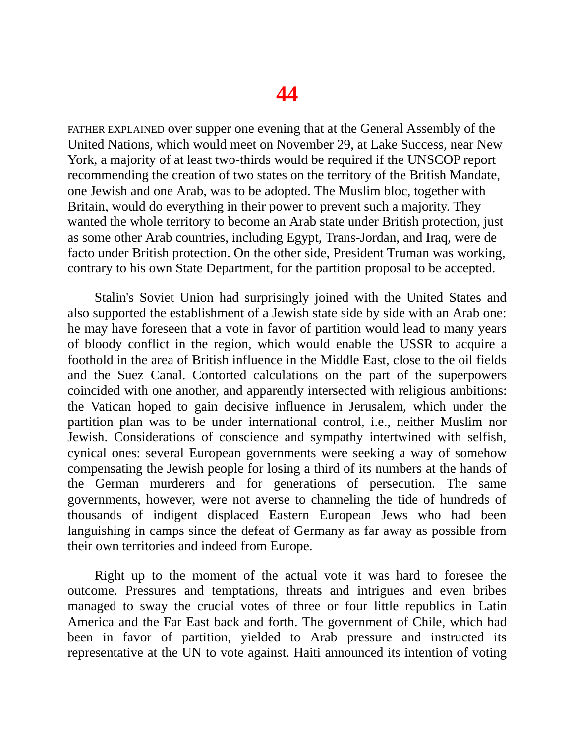FATHER EXPLAINED over supper one evening that at the General Assembly of the United Nations, which would meet on November 29, at Lake Success, near New York, a majority of at least two-thirds would be required if the UNSCOP report recommending the creation of two states on the territory of the British Mandate, one Jewish and one Arab, was to be adopted. The Muslim bloc, together with Britain, would do everything in their power to prevent such a majority. They wanted the whole territory to become an Arab state under British protection, just as some other Arab countries, including Egypt, Trans-Jordan, and Iraq, were de facto under British protection. On the other side, President Truman was working, contrary to his own State Department, for the partition proposal to be accepted.

Stalin's Soviet Union had surprisingly joined with the United States and also supported the establishment of a Jewish state side by side with an Arab one: he may have foreseen that a vote in favor of partition would lead to many years of bloody conflict in the region, which would enable the USSR to acquire a foothold in the area of British influence in the Middle East, close to the oil fields and the Suez Canal. Contorted calculations on the part of the superpowers coincided with one another, and apparently intersected with religious ambitions: the Vatican hoped to gain decisive influence in Jerusalem, which under the partition plan was to be under international control, i.e., neither Muslim nor Jewish. Considerations of conscience and sympathy intertwined with selfish, cynical ones: several European governments were seeking a way of somehow compensating the Jewish people for losing a third of its numbers at the hands of the German murderers and for generations of persecution. The same governments, however, were not averse to channeling the tide of hundreds of thousands of indigent displaced Eastern European Jews who had been languishing in camps since the defeat of Germany as far away as possible from their own territories and indeed from Europe.

Right up to the moment of the actual vote it was hard to foresee the outcome. Pressures and temptations, threats and intrigues and even bribes managed to sway the crucial votes of three or four little republics in Latin America and the Far East back and forth. The government of Chile, which had been in favor of partition, yielded to Arab pressure and instructed its representative at the UN to vote against. Haiti announced its intention of voting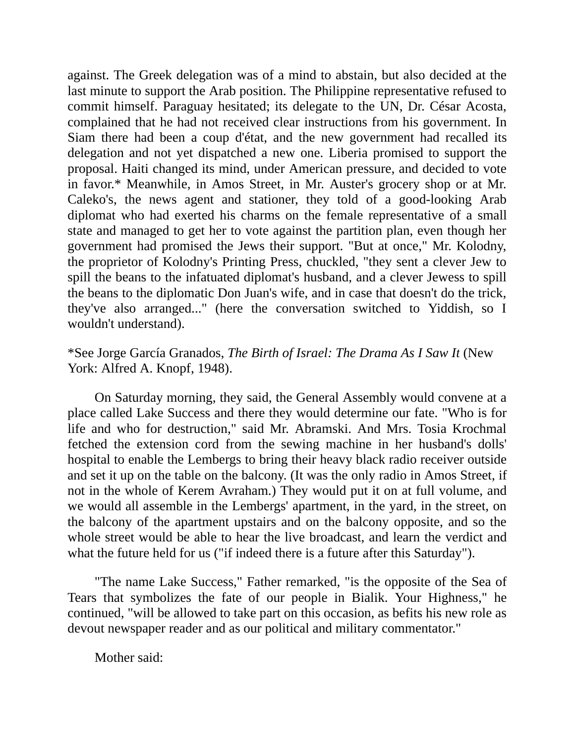against. The Greek delegation was of a mind to abstain, but also decided at the last minute to support the Arab position. The Philippine representative refused to commit himself. Paraguay hesitated; its delegate to the UN, Dr. César Acosta, complained that he had not received clear instructions from his government. In Siam there had been a coup d'état, and the new government had recalled its delegation and not yet dispatched a new one. Liberia promised to support the proposal. Haiti changed its mind, under American pressure, and decided to vote in favor.\* Meanwhile, in Amos Street, in Mr. Auster's grocery shop or at Mr. Caleko's, the news agent and stationer, they told of a good-looking Arab diplomat who had exerted his charms on the female representative of a small state and managed to get her to vote against the partition plan, even though her government had promised the Jews their support. "But at once," Mr. Kolodny, the proprietor of Kolodny's Printing Press, chuckled, "they sent a clever Jew to spill the beans to the infatuated diplomat's husband, and a clever Jewess to spill the beans to the diplomatic Don Juan's wife, and in case that doesn't do the trick, they've also arranged..." (here the conversation switched to Yiddish, so I wouldn't understand).

## \*See Jorge García Granados, *The Birth of Israel: The Drama As I Saw It* (New York: Alfred A. Knopf, 1948).

On Saturday morning, they said, the General Assembly would convene at a place called Lake Success and there they would determine our fate. "Who is for life and who for destruction," said Mr. Abramski. And Mrs. Tosia Krochmal fetched the extension cord from the sewing machine in her husband's dolls' hospital to enable the Lembergs to bring their heavy black radio receiver outside and set it up on the table on the balcony. (It was the only radio in Amos Street, if not in the whole of Kerem Avraham.) They would put it on at full volume, and we would all assemble in the Lembergs' apartment, in the yard, in the street, on the balcony of the apartment upstairs and on the balcony opposite, and so the whole street would be able to hear the live broadcast, and learn the verdict and what the future held for us ("if indeed there is a future after this Saturday").

"The name Lake Success," Father remarked, "is the opposite of the Sea of Tears that symbolizes the fate of our people in Bialik. Your Highness," he continued, "will be allowed to take part on this occasion, as befits his new role as devout newspaper reader and as our political and military commentator."

Mother said: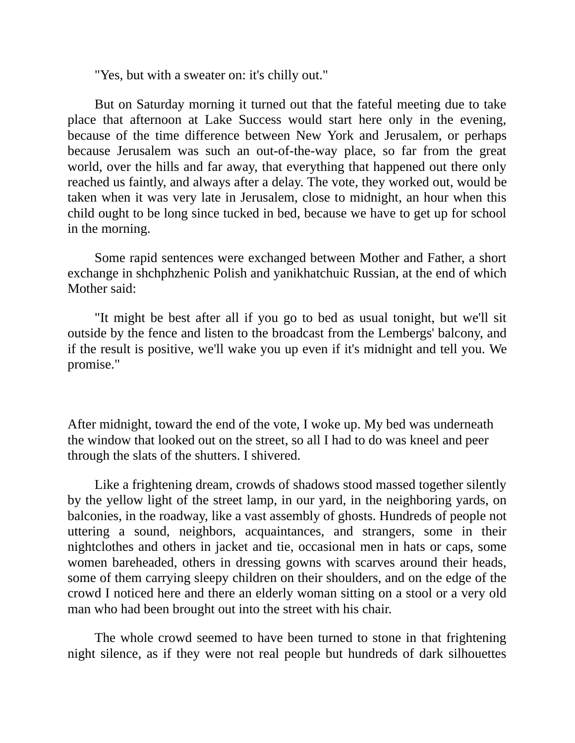"Yes, but with a sweater on: it's chilly out."

But on Saturday morning it turned out that the fateful meeting due to take place that afternoon at Lake Success would start here only in the evening, because of the time difference between New York and Jerusalem, or perhaps because Jerusalem was such an out-of-the-way place, so far from the great world, over the hills and far away, that everything that happened out there only reached us faintly, and always after a delay. The vote, they worked out, would be taken when it was very late in Jerusalem, close to midnight, an hour when this child ought to be long since tucked in bed, because we have to get up for school in the morning.

Some rapid sentences were exchanged between Mother and Father, a short exchange in shchphzhenic Polish and yanikhatchuic Russian, at the end of which Mother said:

"It might be best after all if you go to bed as usual tonight, but we'll sit outside by the fence and listen to the broadcast from the Lembergs' balcony, and if the result is positive, we'll wake you up even if it's midnight and tell you. We promise."

After midnight, toward the end of the vote, I woke up. My bed was underneath the window that looked out on the street, so all I had to do was kneel and peer through the slats of the shutters. I shivered.

Like a frightening dream, crowds of shadows stood massed together silently by the yellow light of the street lamp, in our yard, in the neighboring yards, on balconies, in the roadway, like a vast assembly of ghosts. Hundreds of people not uttering a sound, neighbors, acquaintances, and strangers, some in their nightclothes and others in jacket and tie, occasional men in hats or caps, some women bareheaded, others in dressing gowns with scarves around their heads, some of them carrying sleepy children on their shoulders, and on the edge of the crowd I noticed here and there an elderly woman sitting on a stool or a very old man who had been brought out into the street with his chair.

The whole crowd seemed to have been turned to stone in that frightening night silence, as if they were not real people but hundreds of dark silhouettes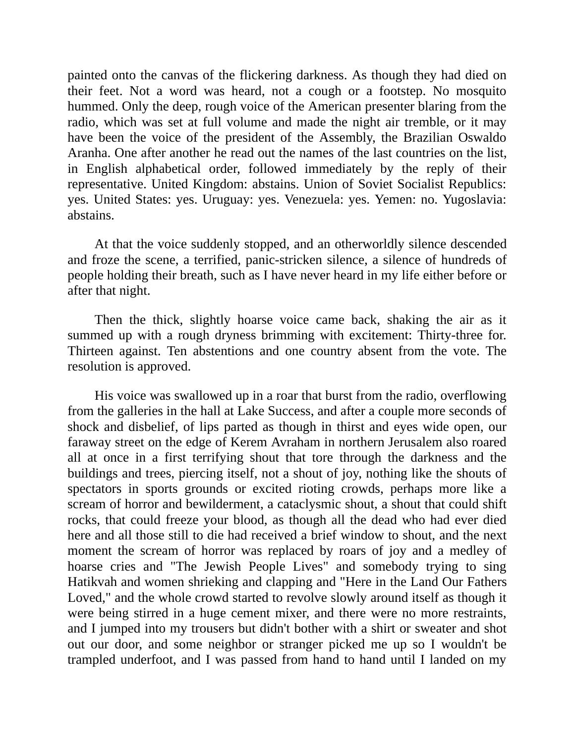painted onto the canvas of the flickering darkness. As though they had died on their feet. Not a word was heard, not a cough or a footstep. No mosquito hummed. Only the deep, rough voice of the American presenter blaring from the radio, which was set at full volume and made the night air tremble, or it may have been the voice of the president of the Assembly, the Brazilian Oswaldo Aranha. One after another he read out the names of the last countries on the list, in English alphabetical order, followed immediately by the reply of their representative. United Kingdom: abstains. Union of Soviet Socialist Republics: yes. United States: yes. Uruguay: yes. Venezuela: yes. Yemen: no. Yugoslavia: abstains.

At that the voice suddenly stopped, and an otherworldly silence descended and froze the scene, a terrified, panic-stricken silence, a silence of hundreds of people holding their breath, such as I have never heard in my life either before or after that night.

Then the thick, slightly hoarse voice came back, shaking the air as it summed up with a rough dryness brimming with excitement: Thirty-three for. Thirteen against. Ten abstentions and one country absent from the vote. The resolution is approved.

His voice was swallowed up in a roar that burst from the radio, overflowing from the galleries in the hall at Lake Success, and after a couple more seconds of shock and disbelief, of lips parted as though in thirst and eyes wide open, our faraway street on the edge of Kerem Avraham in northern Jerusalem also roared all at once in a first terrifying shout that tore through the darkness and the buildings and trees, piercing itself, not a shout of joy, nothing like the shouts of spectators in sports grounds or excited rioting crowds, perhaps more like a scream of horror and bewilderment, a cataclysmic shout, a shout that could shift rocks, that could freeze your blood, as though all the dead who had ever died here and all those still to die had received a brief window to shout, and the next moment the scream of horror was replaced by roars of joy and a medley of hoarse cries and "The Jewish People Lives" and somebody trying to sing Hatikvah and women shrieking and clapping and "Here in the Land Our Fathers Loved," and the whole crowd started to revolve slowly around itself as though it were being stirred in a huge cement mixer, and there were no more restraints, and I jumped into my trousers but didn't bother with a shirt or sweater and shot out our door, and some neighbor or stranger picked me up so I wouldn't be trampled underfoot, and I was passed from hand to hand until I landed on my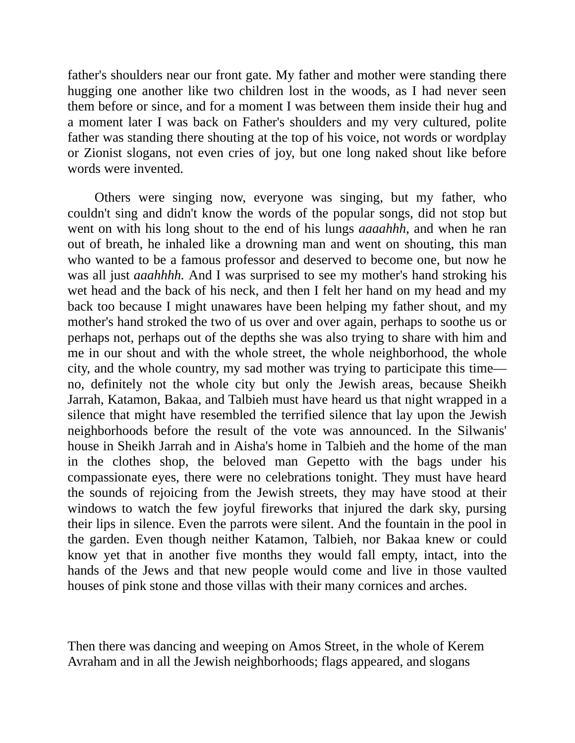father's shoulders near our front gate. My father and mother were standing there hugging one another like two children lost in the woods, as I had never seen them before or since, and for a moment I was between them inside their hug and a moment later I was back on Father's shoulders and my very cultured, polite father was standing there shouting at the top of his voice, not words or wordplay or Zionist slogans, not even cries of joy, but one long naked shout like before words were invented.

Others were singing now, everyone was singing, but my father, who couldn't sing and didn't know the words of the popular songs, did not stop but went on with his long shout to the end of his lungs *aaaahhh*, and when he ran out of breath, he inhaled like a drowning man and went on shouting, this man who wanted to be a famous professor and deserved to become one, but now he was all just *aaahhhh.* And I was surprised to see my mother's hand stroking his wet head and the back of his neck, and then I felt her hand on my head and my back too because I might unawares have been helping my father shout, and my mother's hand stroked the two of us over and over again, perhaps to soothe us or perhaps not, perhaps out of the depths she was also trying to share with him and me in our shout and with the whole street, the whole neighborhood, the whole city, and the whole country, my sad mother was trying to participate this time no, definitely not the whole city but only the Jewish areas, because Sheikh Jarrah, Katamon, Bakaa, and Talbieh must have heard us that night wrapped in a silence that might have resembled the terrified silence that lay upon the Jewish neighborhoods before the result of the vote was announced. In the Silwanis' house in Sheikh Jarrah and in Aisha's home in Talbieh and the home of the man in the clothes shop, the beloved man Gepetto with the bags under his compassionate eyes, there were no celebrations tonight. They must have heard the sounds of rejoicing from the Jewish streets, they may have stood at their windows to watch the few joyful fireworks that injured the dark sky, pursing their lips in silence. Even the parrots were silent. And the fountain in the pool in the garden. Even though neither Katamon, Talbieh, nor Bakaa knew or could know yet that in another five months they would fall empty, intact, into the hands of the Jews and that new people would come and live in those vaulted houses of pink stone and those villas with their many cornices and arches.

Then there was dancing and weeping on Amos Street, in the whole of Kerem Avraham and in all the Jewish neighborhoods; flags appeared, and slogans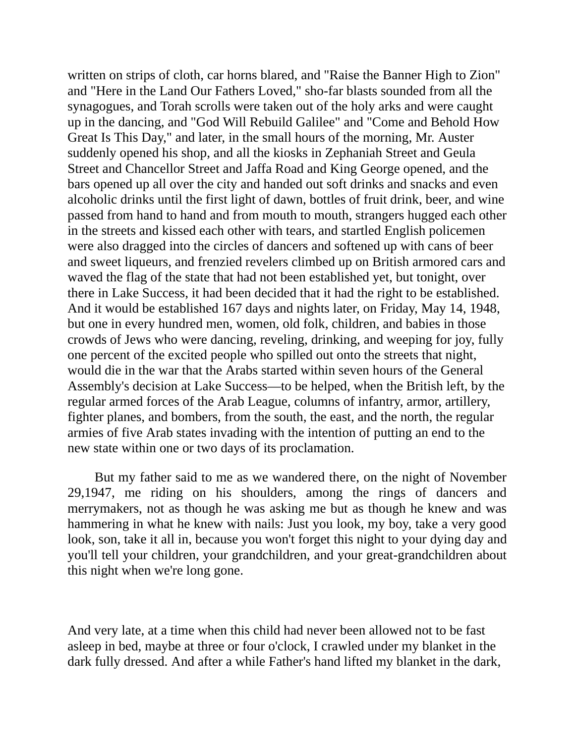written on strips of cloth, car horns blared, and "Raise the Banner High to Zion" and "Here in the Land Our Fathers Loved," sho-far blasts sounded from all the synagogues, and Torah scrolls were taken out of the holy arks and were caught up in the dancing, and "God Will Rebuild Galilee" and "Come and Behold How Great Is This Day," and later, in the small hours of the morning, Mr. Auster suddenly opened his shop, and all the kiosks in Zephaniah Street and Geula Street and Chancellor Street and Jaffa Road and King George opened, and the bars opened up all over the city and handed out soft drinks and snacks and even alcoholic drinks until the first light of dawn, bottles of fruit drink, beer, and wine passed from hand to hand and from mouth to mouth, strangers hugged each other in the streets and kissed each other with tears, and startled English policemen were also dragged into the circles of dancers and softened up with cans of beer and sweet liqueurs, and frenzied revelers climbed up on British armored cars and waved the flag of the state that had not been established yet, but tonight, over there in Lake Success, it had been decided that it had the right to be established. And it would be established 167 days and nights later, on Friday, May 14, 1948, but one in every hundred men, women, old folk, children, and babies in those crowds of Jews who were dancing, reveling, drinking, and weeping for joy, fully one percent of the excited people who spilled out onto the streets that night, would die in the war that the Arabs started within seven hours of the General Assembly's decision at Lake Success—to be helped, when the British left, by the regular armed forces of the Arab League, columns of infantry, armor, artillery, fighter planes, and bombers, from the south, the east, and the north, the regular armies of five Arab states invading with the intention of putting an end to the new state within one or two days of its proclamation.

But my father said to me as we wandered there, on the night of November 29,1947, me riding on his shoulders, among the rings of dancers and merrymakers, not as though he was asking me but as though he knew and was hammering in what he knew with nails: Just you look, my boy, take a very good look, son, take it all in, because you won't forget this night to your dying day and you'll tell your children, your grandchildren, and your great-grandchildren about this night when we're long gone.

And very late, at a time when this child had never been allowed not to be fast asleep in bed, maybe at three or four o'clock, I crawled under my blanket in the dark fully dressed. And after a while Father's hand lifted my blanket in the dark,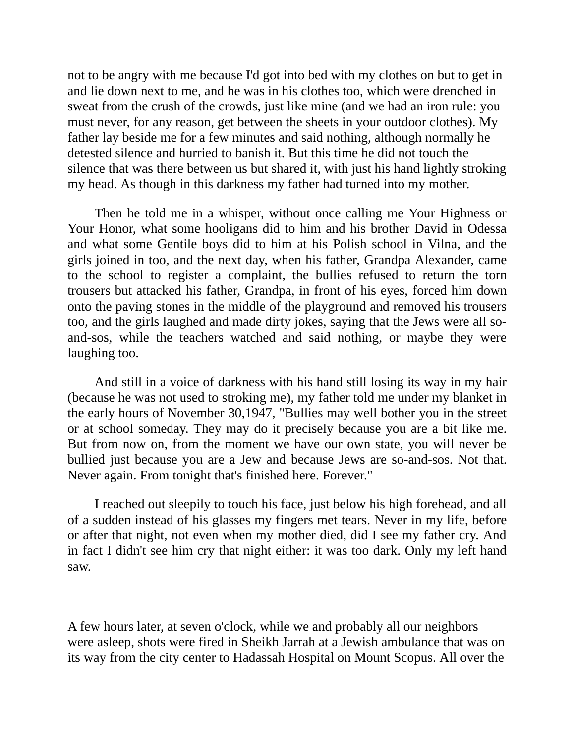not to be angry with me because I'd got into bed with my clothes on but to get in and lie down next to me, and he was in his clothes too, which were drenched in sweat from the crush of the crowds, just like mine (and we had an iron rule: you must never, for any reason, get between the sheets in your outdoor clothes). My father lay beside me for a few minutes and said nothing, although normally he detested silence and hurried to banish it. But this time he did not touch the silence that was there between us but shared it, with just his hand lightly stroking my head. As though in this darkness my father had turned into my mother.

Then he told me in a whisper, without once calling me Your Highness or Your Honor, what some hooligans did to him and his brother David in Odessa and what some Gentile boys did to him at his Polish school in Vilna, and the girls joined in too, and the next day, when his father, Grandpa Alexander, came to the school to register a complaint, the bullies refused to return the torn trousers but attacked his father, Grandpa, in front of his eyes, forced him down onto the paving stones in the middle of the playground and removed his trousers too, and the girls laughed and made dirty jokes, saying that the Jews were all soand-sos, while the teachers watched and said nothing, or maybe they were laughing too.

And still in a voice of darkness with his hand still losing its way in my hair (because he was not used to stroking me), my father told me under my blanket in the early hours of November 30,1947, "Bullies may well bother you in the street or at school someday. They may do it precisely because you are a bit like me. But from now on, from the moment we have our own state, you will never be bullied just because you are a Jew and because Jews are so-and-sos. Not that. Never again. From tonight that's finished here. Forever."

I reached out sleepily to touch his face, just below his high forehead, and all of a sudden instead of his glasses my fingers met tears. Never in my life, before or after that night, not even when my mother died, did I see my father cry. And in fact I didn't see him cry that night either: it was too dark. Only my left hand saw.

A few hours later, at seven o'clock, while we and probably all our neighbors were asleep, shots were fired in Sheikh Jarrah at a Jewish ambulance that was on its way from the city center to Hadassah Hospital on Mount Scopus. All over the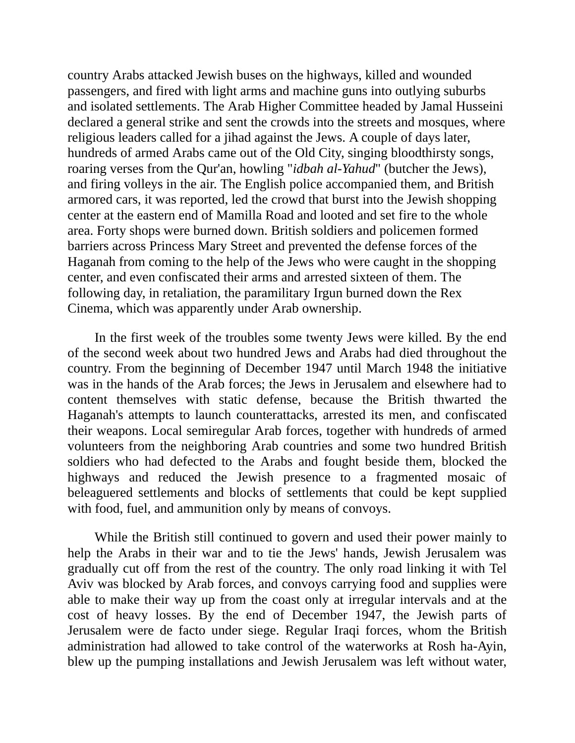country Arabs attacked Jewish buses on the highways, killed and wounded passengers, and fired with light arms and machine guns into outlying suburbs and isolated settlements. The Arab Higher Committee headed by Jamal Husseini declared a general strike and sent the crowds into the streets and mosques, where religious leaders called for a jihad against the Jews. A couple of days later, hundreds of armed Arabs came out of the Old City, singing bloodthirsty songs, roaring verses from the Qur'an, howling "*idbah al-Yahud*" (butcher the Jews), and firing volleys in the air. The English police accompanied them, and British armored cars, it was reported, led the crowd that burst into the Jewish shopping center at the eastern end of Mamilla Road and looted and set fire to the whole area. Forty shops were burned down. British soldiers and policemen formed barriers across Princess Mary Street and prevented the defense forces of the Haganah from coming to the help of the Jews who were caught in the shopping center, and even confiscated their arms and arrested sixteen of them. The following day, in retaliation, the paramilitary Irgun burned down the Rex Cinema, which was apparently under Arab ownership.

In the first week of the troubles some twenty Jews were killed. By the end of the second week about two hundred Jews and Arabs had died throughout the country. From the beginning of December 1947 until March 1948 the initiative was in the hands of the Arab forces; the Jews in Jerusalem and elsewhere had to content themselves with static defense, because the British thwarted the Haganah's attempts to launch counterattacks, arrested its men, and confiscated their weapons. Local semiregular Arab forces, together with hundreds of armed volunteers from the neighboring Arab countries and some two hundred British soldiers who had defected to the Arabs and fought beside them, blocked the highways and reduced the Jewish presence to a fragmented mosaic of beleaguered settlements and blocks of settlements that could be kept supplied with food, fuel, and ammunition only by means of convoys.

While the British still continued to govern and used their power mainly to help the Arabs in their war and to tie the Jews' hands, Jewish Jerusalem was gradually cut off from the rest of the country. The only road linking it with Tel Aviv was blocked by Arab forces, and convoys carrying food and supplies were able to make their way up from the coast only at irregular intervals and at the cost of heavy losses. By the end of December 1947, the Jewish parts of Jerusalem were de facto under siege. Regular Iraqi forces, whom the British administration had allowed to take control of the waterworks at Rosh ha-Ayin, blew up the pumping installations and Jewish Jerusalem was left without water,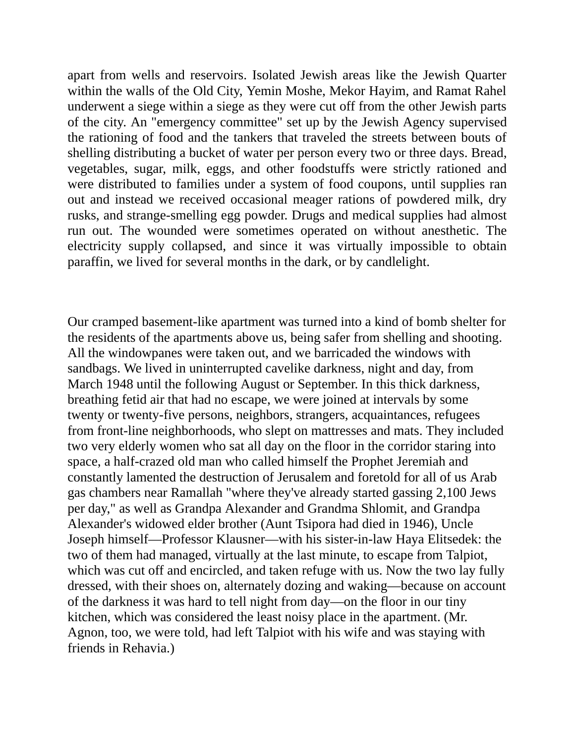apart from wells and reservoirs. Isolated Jewish areas like the Jewish Quarter within the walls of the Old City, Yemin Moshe, Mekor Hayim, and Ramat Rahel underwent a siege within a siege as they were cut off from the other Jewish parts of the city. An "emergency committee" set up by the Jewish Agency supervised the rationing of food and the tankers that traveled the streets between bouts of shelling distributing a bucket of water per person every two or three days. Bread, vegetables, sugar, milk, eggs, and other foodstuffs were strictly rationed and were distributed to families under a system of food coupons, until supplies ran out and instead we received occasional meager rations of powdered milk, dry rusks, and strange-smelling egg powder. Drugs and medical supplies had almost run out. The wounded were sometimes operated on without anesthetic. The electricity supply collapsed, and since it was virtually impossible to obtain paraffin, we lived for several months in the dark, or by candlelight.

Our cramped basement-like apartment was turned into a kind of bomb shelter for the residents of the apartments above us, being safer from shelling and shooting. All the windowpanes were taken out, and we barricaded the windows with sandbags. We lived in uninterrupted cavelike darkness, night and day, from March 1948 until the following August or September. In this thick darkness, breathing fetid air that had no escape, we were joined at intervals by some twenty or twenty-five persons, neighbors, strangers, acquaintances, refugees from front-line neighborhoods, who slept on mattresses and mats. They included two very elderly women who sat all day on the floor in the corridor staring into space, a half-crazed old man who called himself the Prophet Jeremiah and constantly lamented the destruction of Jerusalem and foretold for all of us Arab gas chambers near Ramallah "where they've already started gassing 2,100 Jews per day," as well as Grandpa Alexander and Grandma Shlomit, and Grandpa Alexander's widowed elder brother (Aunt Tsipora had died in 1946), Uncle Joseph himself—Professor Klausner—with his sister-in-law Haya Elitsedek: the two of them had managed, virtually at the last minute, to escape from Talpiot, which was cut off and encircled, and taken refuge with us. Now the two lay fully dressed, with their shoes on, alternately dozing and waking—because on account of the darkness it was hard to tell night from day—on the floor in our tiny kitchen, which was considered the least noisy place in the apartment. (Mr. Agnon, too, we were told, had left Talpiot with his wife and was staying with friends in Rehavia.)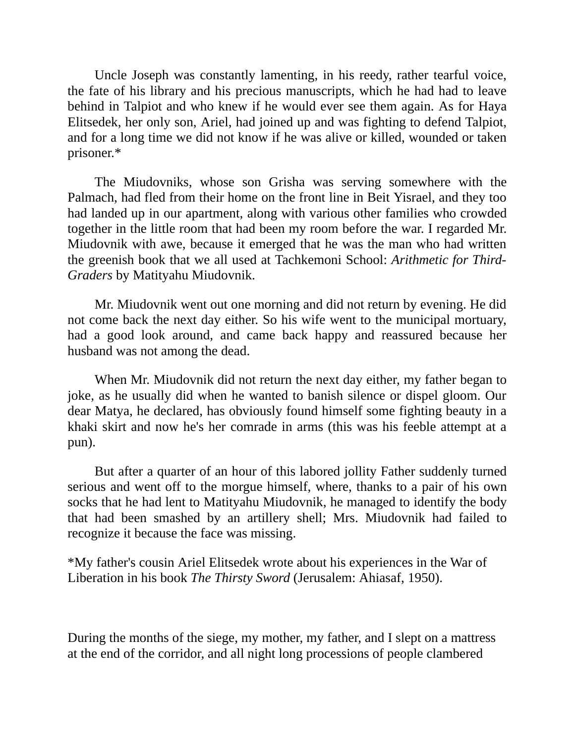Uncle Joseph was constantly lamenting, in his reedy, rather tearful voice, the fate of his library and his precious manuscripts, which he had had to leave behind in Talpiot and who knew if he would ever see them again. As for Haya Elitsedek, her only son, Ariel, had joined up and was fighting to defend Talpiot, and for a long time we did not know if he was alive or killed, wounded or taken prisoner.\*

The Miudovniks, whose son Grisha was serving somewhere with the Palmach, had fled from their home on the front line in Beit Yisrael, and they too had landed up in our apartment, along with various other families who crowded together in the little room that had been my room before the war. I regarded Mr. Miudovnik with awe, because it emerged that he was the man who had written the greenish book that we all used at Tachkemoni School: *Arithmetic for Third-Graders* by Matityahu Miudovnik.

Mr. Miudovnik went out one morning and did not return by evening. He did not come back the next day either. So his wife went to the municipal mortuary, had a good look around, and came back happy and reassured because her husband was not among the dead.

When Mr. Miudovnik did not return the next day either, my father began to joke, as he usually did when he wanted to banish silence or dispel gloom. Our dear Matya, he declared, has obviously found himself some fighting beauty in a khaki skirt and now he's her comrade in arms (this was his feeble attempt at a pun).

But after a quarter of an hour of this labored jollity Father suddenly turned serious and went off to the morgue himself, where, thanks to a pair of his own socks that he had lent to Matityahu Miudovnik, he managed to identify the body that had been smashed by an artillery shell; Mrs. Miudovnik had failed to recognize it because the face was missing.

\*My father's cousin Ariel Elitsedek wrote about his experiences in the War of Liberation in his book *The Thirsty Sword* (Jerusalem: Ahiasaf, 1950).

During the months of the siege, my mother, my father, and I slept on a mattress at the end of the corridor, and all night long processions of people clambered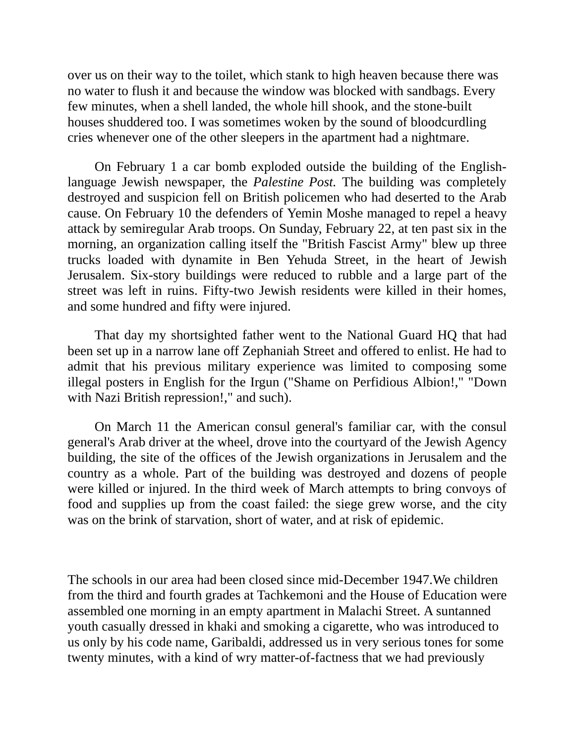over us on their way to the toilet, which stank to high heaven because there was no water to flush it and because the window was blocked with sandbags. Every few minutes, when a shell landed, the whole hill shook, and the stone-built houses shuddered too. I was sometimes woken by the sound of bloodcurdling cries whenever one of the other sleepers in the apartment had a nightmare.

On February 1 a car bomb exploded outside the building of the Englishlanguage Jewish newspaper, the *Palestine Post.* The building was completely destroyed and suspicion fell on British policemen who had deserted to the Arab cause. On February 10 the defenders of Yemin Moshe managed to repel a heavy attack by semiregular Arab troops. On Sunday, February 22, at ten past six in the morning, an organization calling itself the "British Fascist Army" blew up three trucks loaded with dynamite in Ben Yehuda Street, in the heart of Jewish Jerusalem. Six-story buildings were reduced to rubble and a large part of the street was left in ruins. Fifty-two Jewish residents were killed in their homes, and some hundred and fifty were injured.

That day my shortsighted father went to the National Guard HQ that had been set up in a narrow lane off Zephaniah Street and offered to enlist. He had to admit that his previous military experience was limited to composing some illegal posters in English for the Irgun ("Shame on Perfidious Albion!," "Down with Nazi British repression!," and such).

On March 11 the American consul general's familiar car, with the consul general's Arab driver at the wheel, drove into the courtyard of the Jewish Agency building, the site of the offices of the Jewish organizations in Jerusalem and the country as a whole. Part of the building was destroyed and dozens of people were killed or injured. In the third week of March attempts to bring convoys of food and supplies up from the coast failed: the siege grew worse, and the city was on the brink of starvation, short of water, and at risk of epidemic.

The schools in our area had been closed since mid-December 1947.We children from the third and fourth grades at Tachkemoni and the House of Education were assembled one morning in an empty apartment in Malachi Street. A suntanned youth casually dressed in khaki and smoking a cigarette, who was introduced to us only by his code name, Garibaldi, addressed us in very serious tones for some twenty minutes, with a kind of wry matter-of-factness that we had previously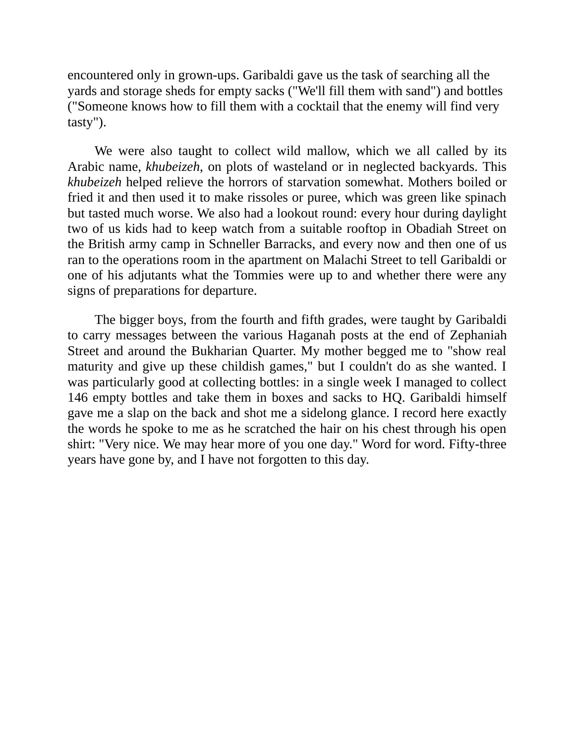encountered only in grown-ups. Garibaldi gave us the task of searching all the yards and storage sheds for empty sacks ("We'll fill them with sand") and bottles ("Someone knows how to fill them with a cocktail that the enemy will find very tasty").

We were also taught to collect wild mallow, which we all called by its Arabic name, *khubeizeh*, on plots of wasteland or in neglected backyards. This *khubeizeh* helped relieve the horrors of starvation somewhat. Mothers boiled or fried it and then used it to make rissoles or puree, which was green like spinach but tasted much worse. We also had a lookout round: every hour during daylight two of us kids had to keep watch from a suitable rooftop in Obadiah Street on the British army camp in Schneller Barracks, and every now and then one of us ran to the operations room in the apartment on Malachi Street to tell Garibaldi or one of his adjutants what the Tommies were up to and whether there were any signs of preparations for departure.

The bigger boys, from the fourth and fifth grades, were taught by Garibaldi to carry messages between the various Haganah posts at the end of Zephaniah Street and around the Bukharian Quarter. My mother begged me to "show real maturity and give up these childish games," but I couldn't do as she wanted. I was particularly good at collecting bottles: in a single week I managed to collect 146 empty bottles and take them in boxes and sacks to HQ. Garibaldi himself gave me a slap on the back and shot me a sidelong glance. I record here exactly the words he spoke to me as he scratched the hair on his chest through his open shirt: "Very nice. We may hear more of you one day." Word for word. Fifty-three years have gone by, and I have not forgotten to this day.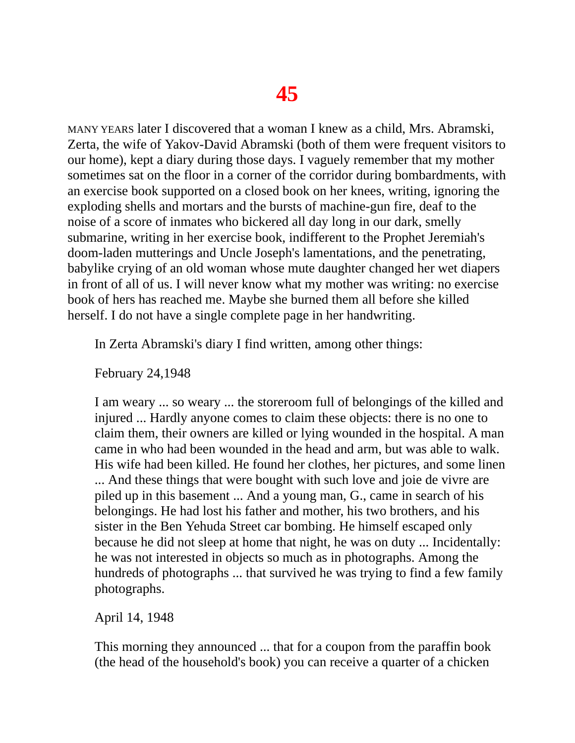MANY YEARS later I discovered that a woman I knew as a child, Mrs. Abramski, Zerta, the wife of Yakov-David Abramski (both of them were frequent visitors to our home), kept a diary during those days. I vaguely remember that my mother sometimes sat on the floor in a corner of the corridor during bombardments, with an exercise book supported on a closed book on her knees, writing, ignoring the exploding shells and mortars and the bursts of machine-gun fire, deaf to the noise of a score of inmates who bickered all day long in our dark, smelly submarine, writing in her exercise book, indifferent to the Prophet Jeremiah's doom-laden mutterings and Uncle Joseph's lamentations, and the penetrating, babylike crying of an old woman whose mute daughter changed her wet diapers in front of all of us. I will never know what my mother was writing: no exercise book of hers has reached me. Maybe she burned them all before she killed herself. I do not have a single complete page in her handwriting.

In Zerta Abramski's diary I find written, among other things:

February 24,1948

I am weary ... so weary ... the storeroom full of belongings of the killed and injured ... Hardly anyone comes to claim these objects: there is no one to claim them, their owners are killed or lying wounded in the hospital. A man came in who had been wounded in the head and arm, but was able to walk. His wife had been killed. He found her clothes, her pictures, and some linen ... And these things that were bought with such love and joie de vivre are piled up in this basement ... And a young man, G., came in search of his belongings. He had lost his father and mother, his two brothers, and his sister in the Ben Yehuda Street car bombing. He himself escaped only because he did not sleep at home that night, he was on duty ... Incidentally: he was not interested in objects so much as in photographs. Among the hundreds of photographs ... that survived he was trying to find a few family photographs.

April 14, 1948

This morning they announced ... that for a coupon from the paraffin book (the head of the household's book) you can receive a quarter of a chicken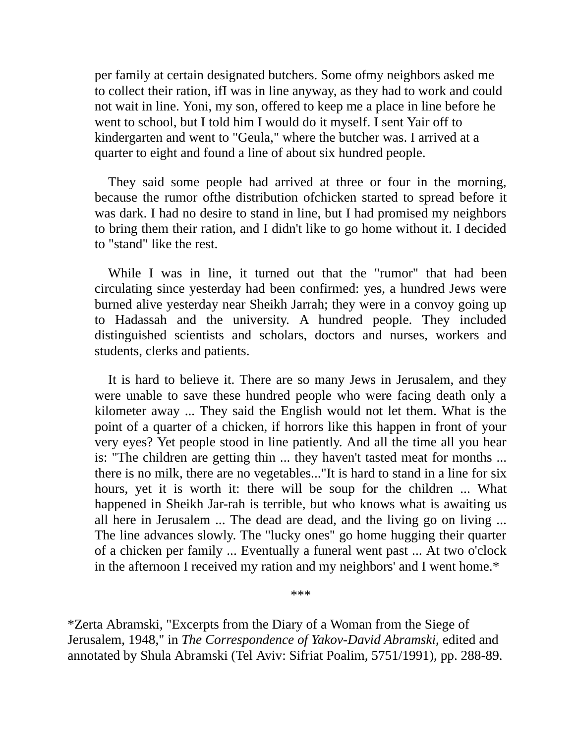per family at certain designated butchers. Some ofmy neighbors asked me to collect their ration, ifI was in line anyway, as they had to work and could not wait in line. Yoni, my son, offered to keep me a place in line before he went to school, but I told him I would do it myself. I sent Yair off to kindergarten and went to "Geula," where the butcher was. I arrived at a quarter to eight and found a line of about six hundred people.

They said some people had arrived at three or four in the morning, because the rumor ofthe distribution ofchicken started to spread before it was dark. I had no desire to stand in line, but I had promised my neighbors to bring them their ration, and I didn't like to go home without it. I decided to "stand" like the rest.

While I was in line, it turned out that the "rumor" that had been circulating since yesterday had been confirmed: yes, a hundred Jews were burned alive yesterday near Sheikh Jarrah; they were in a convoy going up to Hadassah and the university. A hundred people. They included distinguished scientists and scholars, doctors and nurses, workers and students, clerks and patients.

It is hard to believe it. There are so many Jews in Jerusalem, and they were unable to save these hundred people who were facing death only a kilometer away ... They said the English would not let them. What is the point of a quarter of a chicken, if horrors like this happen in front of your very eyes? Yet people stood in line patiently. And all the time all you hear is: "The children are getting thin ... they haven't tasted meat for months ... there is no milk, there are no vegetables..."It is hard to stand in a line for six hours, yet it is worth it: there will be soup for the children ... What happened in Sheikh Jar-rah is terrible, but who knows what is awaiting us all here in Jerusalem ... The dead are dead, and the living go on living ... The line advances slowly. The "lucky ones" go home hugging their quarter of a chicken per family ... Eventually a funeral went past ... At two o'clock in the afternoon I received my ration and my neighbors' and I went home.\*

\*\*\*

\*Zerta Abramski, "Excerpts from the Diary of a Woman from the Siege of Jerusalem, 1948," in *The Correspondence of Yakov-David Abramski*, edited and annotated by Shula Abramski (Tel Aviv: Sifriat Poalim, 5751/1991), pp. 288-89.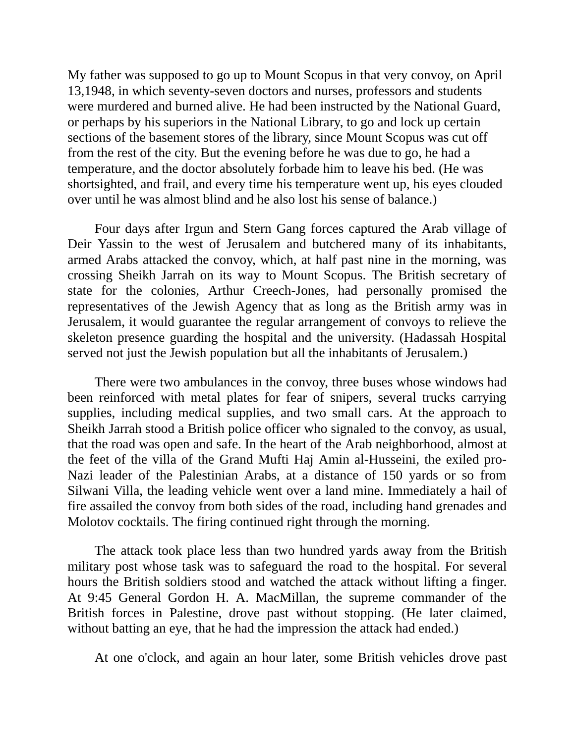My father was supposed to go up to Mount Scopus in that very convoy, on April 13,1948, in which seventy-seven doctors and nurses, professors and students were murdered and burned alive. He had been instructed by the National Guard, or perhaps by his superiors in the National Library, to go and lock up certain sections of the basement stores of the library, since Mount Scopus was cut off from the rest of the city. But the evening before he was due to go, he had a temperature, and the doctor absolutely forbade him to leave his bed. (He was shortsighted, and frail, and every time his temperature went up, his eyes clouded over until he was almost blind and he also lost his sense of balance.)

Four days after Irgun and Stern Gang forces captured the Arab village of Deir Yassin to the west of Jerusalem and butchered many of its inhabitants, armed Arabs attacked the convoy, which, at half past nine in the morning, was crossing Sheikh Jarrah on its way to Mount Scopus. The British secretary of state for the colonies, Arthur Creech-Jones, had personally promised the representatives of the Jewish Agency that as long as the British army was in Jerusalem, it would guarantee the regular arrangement of convoys to relieve the skeleton presence guarding the hospital and the university. (Hadassah Hospital served not just the Jewish population but all the inhabitants of Jerusalem.)

There were two ambulances in the convoy, three buses whose windows had been reinforced with metal plates for fear of snipers, several trucks carrying supplies, including medical supplies, and two small cars. At the approach to Sheikh Jarrah stood a British police officer who signaled to the convoy, as usual, that the road was open and safe. In the heart of the Arab neighborhood, almost at the feet of the villa of the Grand Mufti Haj Amin al-Husseini, the exiled pro-Nazi leader of the Palestinian Arabs, at a distance of 150 yards or so from Silwani Villa, the leading vehicle went over a land mine. Immediately a hail of fire assailed the convoy from both sides of the road, including hand grenades and Molotov cocktails. The firing continued right through the morning.

The attack took place less than two hundred yards away from the British military post whose task was to safeguard the road to the hospital. For several hours the British soldiers stood and watched the attack without lifting a finger. At 9:45 General Gordon H. A. MacMillan, the supreme commander of the British forces in Palestine, drove past without stopping. (He later claimed, without batting an eye, that he had the impression the attack had ended.)

At one o'clock, and again an hour later, some British vehicles drove past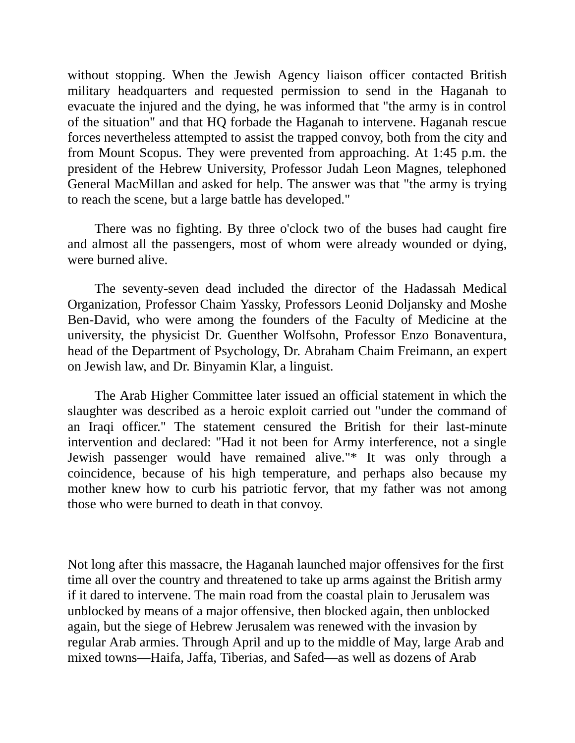without stopping. When the Jewish Agency liaison officer contacted British military headquarters and requested permission to send in the Haganah to evacuate the injured and the dying, he was informed that "the army is in control of the situation" and that HQ forbade the Haganah to intervene. Haganah rescue forces nevertheless attempted to assist the trapped convoy, both from the city and from Mount Scopus. They were prevented from approaching. At 1:45 p.m. the president of the Hebrew University, Professor Judah Leon Magnes, telephoned General MacMillan and asked for help. The answer was that "the army is trying to reach the scene, but a large battle has developed."

There was no fighting. By three o'clock two of the buses had caught fire and almost all the passengers, most of whom were already wounded or dying, were burned alive.

The seventy-seven dead included the director of the Hadassah Medical Organization, Professor Chaim Yassky, Professors Leonid Doljansky and Moshe Ben-David, who were among the founders of the Faculty of Medicine at the university, the physicist Dr. Guenther Wolfsohn, Professor Enzo Bonaventura, head of the Department of Psychology, Dr. Abraham Chaim Freimann, an expert on Jewish law, and Dr. Binyamin Klar, a linguist.

The Arab Higher Committee later issued an official statement in which the slaughter was described as a heroic exploit carried out "under the command of an Iraqi officer." The statement censured the British for their last-minute intervention and declared: "Had it not been for Army interference, not a single Jewish passenger would have remained alive."\* It was only through a coincidence, because of his high temperature, and perhaps also because my mother knew how to curb his patriotic fervor, that my father was not among those who were burned to death in that convoy.

Not long after this massacre, the Haganah launched major offensives for the first time all over the country and threatened to take up arms against the British army if it dared to intervene. The main road from the coastal plain to Jerusalem was unblocked by means of a major offensive, then blocked again, then unblocked again, but the siege of Hebrew Jerusalem was renewed with the invasion by regular Arab armies. Through April and up to the middle of May, large Arab and mixed towns—Haifa, Jaffa, Tiberias, and Safed—as well as dozens of Arab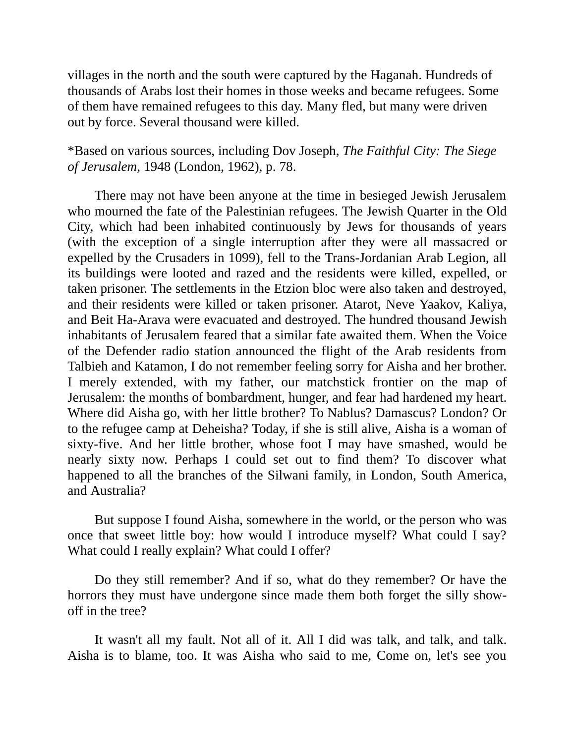villages in the north and the south were captured by the Haganah. Hundreds of thousands of Arabs lost their homes in those weeks and became refugees. Some of them have remained refugees to this day. Many fled, but many were driven out by force. Several thousand were killed.

\*Based on various sources, including Dov Joseph, *The Faithful City: The Siege of Jerusalem*, 1948 (London, 1962), p. 78.

There may not have been anyone at the time in besieged Jewish Jerusalem who mourned the fate of the Palestinian refugees. The Jewish Quarter in the Old City, which had been inhabited continuously by Jews for thousands of years (with the exception of a single interruption after they were all massacred or expelled by the Crusaders in 1099), fell to the Trans-Jordanian Arab Legion, all its buildings were looted and razed and the residents were killed, expelled, or taken prisoner. The settlements in the Etzion bloc were also taken and destroyed, and their residents were killed or taken prisoner. Atarot, Neve Yaakov, Kaliya, and Beit Ha-Arava were evacuated and destroyed. The hundred thousand Jewish inhabitants of Jerusalem feared that a similar fate awaited them. When the Voice of the Defender radio station announced the flight of the Arab residents from Talbieh and Katamon, I do not remember feeling sorry for Aisha and her brother. I merely extended, with my father, our matchstick frontier on the map of Jerusalem: the months of bombardment, hunger, and fear had hardened my heart. Where did Aisha go, with her little brother? To Nablus? Damascus? London? Or to the refugee camp at Deheisha? Today, if she is still alive, Aisha is a woman of sixty-five. And her little brother, whose foot I may have smashed, would be nearly sixty now. Perhaps I could set out to find them? To discover what happened to all the branches of the Silwani family, in London, South America, and Australia?

But suppose I found Aisha, somewhere in the world, or the person who was once that sweet little boy: how would I introduce myself? What could I say? What could I really explain? What could I offer?

Do they still remember? And if so, what do they remember? Or have the horrors they must have undergone since made them both forget the silly showoff in the tree?

It wasn't all my fault. Not all of it. All I did was talk, and talk, and talk. Aisha is to blame, too. It was Aisha who said to me, Come on, let's see you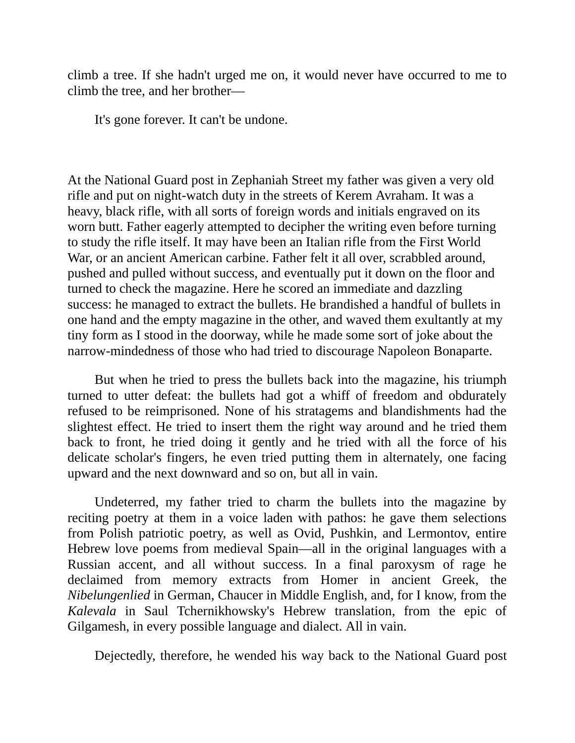climb a tree. If she hadn't urged me on, it would never have occurred to me to climb the tree, and her brother—

It's gone forever. It can't be undone.

At the National Guard post in Zephaniah Street my father was given a very old rifle and put on night-watch duty in the streets of Kerem Avraham. It was a heavy, black rifle, with all sorts of foreign words and initials engraved on its worn butt. Father eagerly attempted to decipher the writing even before turning to study the rifle itself. It may have been an Italian rifle from the First World War, or an ancient American carbine. Father felt it all over, scrabbled around, pushed and pulled without success, and eventually put it down on the floor and turned to check the magazine. Here he scored an immediate and dazzling success: he managed to extract the bullets. He brandished a handful of bullets in one hand and the empty magazine in the other, and waved them exultantly at my tiny form as I stood in the doorway, while he made some sort of joke about the narrow-mindedness of those who had tried to discourage Napoleon Bonaparte.

But when he tried to press the bullets back into the magazine, his triumph turned to utter defeat: the bullets had got a whiff of freedom and obdurately refused to be reimprisoned. None of his stratagems and blandishments had the slightest effect. He tried to insert them the right way around and he tried them back to front, he tried doing it gently and he tried with all the force of his delicate scholar's fingers, he even tried putting them in alternately, one facing upward and the next downward and so on, but all in vain.

Undeterred, my father tried to charm the bullets into the magazine by reciting poetry at them in a voice laden with pathos: he gave them selections from Polish patriotic poetry, as well as Ovid, Pushkin, and Lermontov, entire Hebrew love poems from medieval Spain—all in the original languages with a Russian accent, and all without success. In a final paroxysm of rage he declaimed from memory extracts from Homer in ancient Greek, the *Nibelungenlied* in German, Chaucer in Middle English, and, for I know, from the *Kalevala* in Saul Tchernikhowsky's Hebrew translation, from the epic of Gilgamesh, in every possible language and dialect. All in vain.

Dejectedly, therefore, he wended his way back to the National Guard post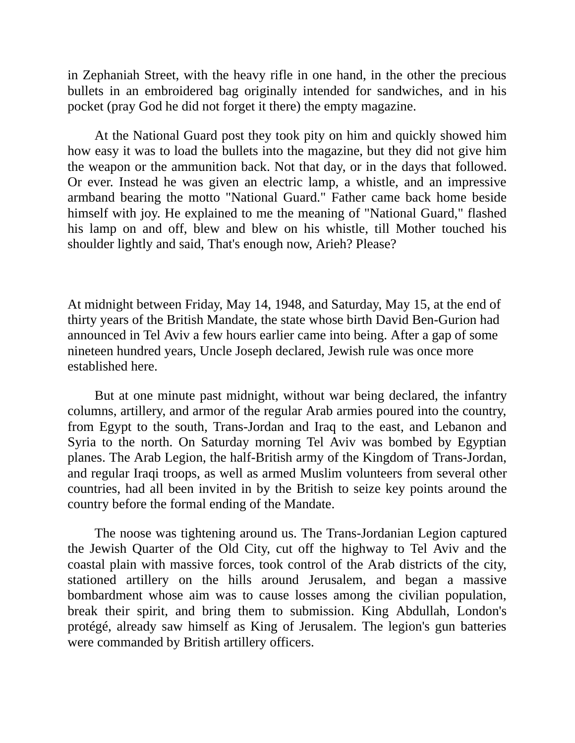in Zephaniah Street, with the heavy rifle in one hand, in the other the precious bullets in an embroidered bag originally intended for sandwiches, and in his pocket (pray God he did not forget it there) the empty magazine.

At the National Guard post they took pity on him and quickly showed him how easy it was to load the bullets into the magazine, but they did not give him the weapon or the ammunition back. Not that day, or in the days that followed. Or ever. Instead he was given an electric lamp, a whistle, and an impressive armband bearing the motto "National Guard." Father came back home beside himself with joy. He explained to me the meaning of "National Guard," flashed his lamp on and off, blew and blew on his whistle, till Mother touched his shoulder lightly and said, That's enough now, Arieh? Please?

At midnight between Friday, May 14, 1948, and Saturday, May 15, at the end of thirty years of the British Mandate, the state whose birth David Ben-Gurion had announced in Tel Aviv a few hours earlier came into being. After a gap of some nineteen hundred years, Uncle Joseph declared, Jewish rule was once more established here.

But at one minute past midnight, without war being declared, the infantry columns, artillery, and armor of the regular Arab armies poured into the country, from Egypt to the south, Trans-Jordan and Iraq to the east, and Lebanon and Syria to the north. On Saturday morning Tel Aviv was bombed by Egyptian planes. The Arab Legion, the half-British army of the Kingdom of Trans-Jordan, and regular Iraqi troops, as well as armed Muslim volunteers from several other countries, had all been invited in by the British to seize key points around the country before the formal ending of the Mandate.

The noose was tightening around us. The Trans-Jordanian Legion captured the Jewish Quarter of the Old City, cut off the highway to Tel Aviv and the coastal plain with massive forces, took control of the Arab districts of the city, stationed artillery on the hills around Jerusalem, and began a massive bombardment whose aim was to cause losses among the civilian population, break their spirit, and bring them to submission. King Abdullah, London's protégé, already saw himself as King of Jerusalem. The legion's gun batteries were commanded by British artillery officers.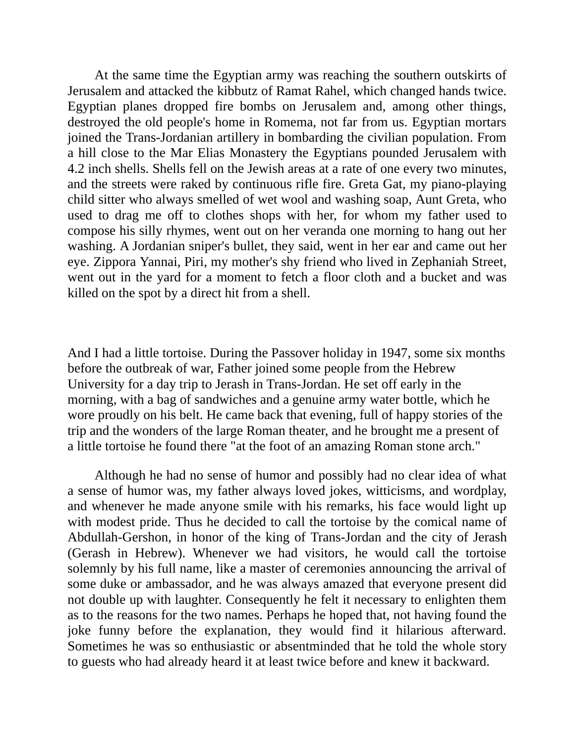At the same time the Egyptian army was reaching the southern outskirts of Jerusalem and attacked the kibbutz of Ramat Rahel, which changed hands twice. Egyptian planes dropped fire bombs on Jerusalem and, among other things, destroyed the old people's home in Romema, not far from us. Egyptian mortars joined the Trans-Jordanian artillery in bombarding the civilian population. From a hill close to the Mar Elias Monastery the Egyptians pounded Jerusalem with 4.2 inch shells. Shells fell on the Jewish areas at a rate of one every two minutes, and the streets were raked by continuous rifle fire. Greta Gat, my piano-playing child sitter who always smelled of wet wool and washing soap, Aunt Greta, who used to drag me off to clothes shops with her, for whom my father used to compose his silly rhymes, went out on her veranda one morning to hang out her washing. A Jordanian sniper's bullet, they said, went in her ear and came out her eye. Zippora Yannai, Piri, my mother's shy friend who lived in Zephaniah Street, went out in the yard for a moment to fetch a floor cloth and a bucket and was killed on the spot by a direct hit from a shell.

And I had a little tortoise. During the Passover holiday in 1947, some six months before the outbreak of war, Father joined some people from the Hebrew University for a day trip to Jerash in Trans-Jordan. He set off early in the morning, with a bag of sandwiches and a genuine army water bottle, which he wore proudly on his belt. He came back that evening, full of happy stories of the trip and the wonders of the large Roman theater, and he brought me a present of a little tortoise he found there "at the foot of an amazing Roman stone arch."

Although he had no sense of humor and possibly had no clear idea of what a sense of humor was, my father always loved jokes, witticisms, and wordplay, and whenever he made anyone smile with his remarks, his face would light up with modest pride. Thus he decided to call the tortoise by the comical name of Abdullah-Gershon, in honor of the king of Trans-Jordan and the city of Jerash (Gerash in Hebrew). Whenever we had visitors, he would call the tortoise solemnly by his full name, like a master of ceremonies announcing the arrival of some duke or ambassador, and he was always amazed that everyone present did not double up with laughter. Consequently he felt it necessary to enlighten them as to the reasons for the two names. Perhaps he hoped that, not having found the joke funny before the explanation, they would find it hilarious afterward. Sometimes he was so enthusiastic or absentminded that he told the whole story to guests who had already heard it at least twice before and knew it backward.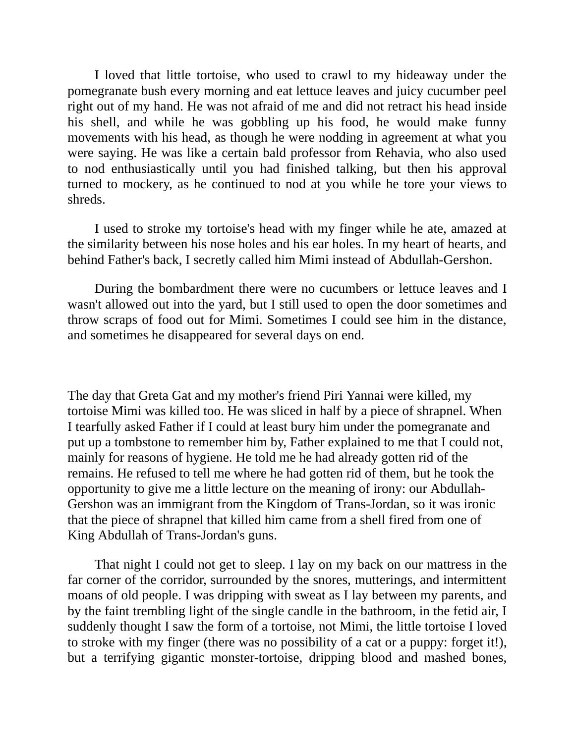I loved that little tortoise, who used to crawl to my hideaway under the pomegranate bush every morning and eat lettuce leaves and juicy cucumber peel right out of my hand. He was not afraid of me and did not retract his head inside his shell, and while he was gobbling up his food, he would make funny movements with his head, as though he were nodding in agreement at what you were saying. He was like a certain bald professor from Rehavia, who also used to nod enthusiastically until you had finished talking, but then his approval turned to mockery, as he continued to nod at you while he tore your views to shreds.

I used to stroke my tortoise's head with my finger while he ate, amazed at the similarity between his nose holes and his ear holes. In my heart of hearts, and behind Father's back, I secretly called him Mimi instead of Abdullah-Gershon.

During the bombardment there were no cucumbers or lettuce leaves and I wasn't allowed out into the yard, but I still used to open the door sometimes and throw scraps of food out for Mimi. Sometimes I could see him in the distance, and sometimes he disappeared for several days on end.

The day that Greta Gat and my mother's friend Piri Yannai were killed, my tortoise Mimi was killed too. He was sliced in half by a piece of shrapnel. When I tearfully asked Father if I could at least bury him under the pomegranate and put up a tombstone to remember him by, Father explained to me that I could not, mainly for reasons of hygiene. He told me he had already gotten rid of the remains. He refused to tell me where he had gotten rid of them, but he took the opportunity to give me a little lecture on the meaning of irony: our Abdullah-Gershon was an immigrant from the Kingdom of Trans-Jordan, so it was ironic that the piece of shrapnel that killed him came from a shell fired from one of King Abdullah of Trans-Jordan's guns.

That night I could not get to sleep. I lay on my back on our mattress in the far corner of the corridor, surrounded by the snores, mutterings, and intermittent moans of old people. I was dripping with sweat as I lay between my parents, and by the faint trembling light of the single candle in the bathroom, in the fetid air, I suddenly thought I saw the form of a tortoise, not Mimi, the little tortoise I loved to stroke with my finger (there was no possibility of a cat or a puppy: forget it!), but a terrifying gigantic monster-tortoise, dripping blood and mashed bones,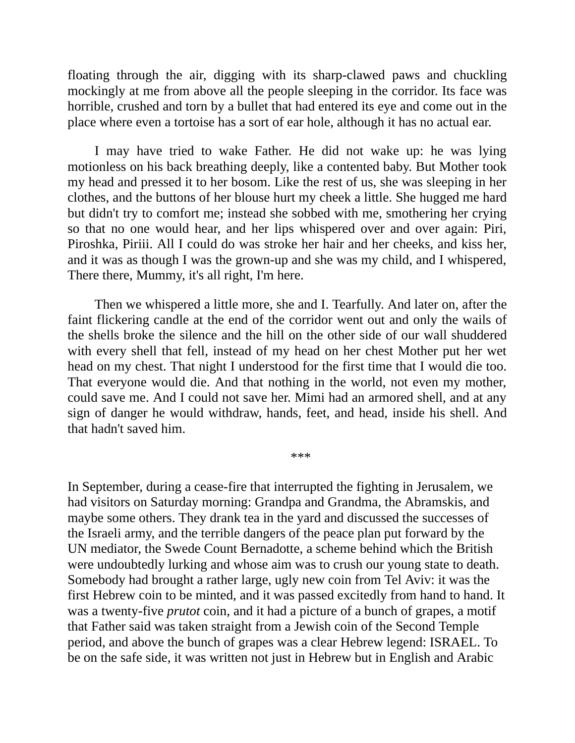floating through the air, digging with its sharp-clawed paws and chuckling mockingly at me from above all the people sleeping in the corridor. Its face was horrible, crushed and torn by a bullet that had entered its eye and come out in the place where even a tortoise has a sort of ear hole, although it has no actual ear.

I may have tried to wake Father. He did not wake up: he was lying motionless on his back breathing deeply, like a contented baby. But Mother took my head and pressed it to her bosom. Like the rest of us, she was sleeping in her clothes, and the buttons of her blouse hurt my cheek a little. She hugged me hard but didn't try to comfort me; instead she sobbed with me, smothering her crying so that no one would hear, and her lips whispered over and over again: Piri, Piroshka, Piriii. All I could do was stroke her hair and her cheeks, and kiss her, and it was as though I was the grown-up and she was my child, and I whispered, There there, Mummy, it's all right, I'm here.

Then we whispered a little more, she and I. Tearfully. And later on, after the faint flickering candle at the end of the corridor went out and only the wails of the shells broke the silence and the hill on the other side of our wall shuddered with every shell that fell, instead of my head on her chest Mother put her wet head on my chest. That night I understood for the first time that I would die too. That everyone would die. And that nothing in the world, not even my mother, could save me. And I could not save her. Mimi had an armored shell, and at any sign of danger he would withdraw, hands, feet, and head, inside his shell. And that hadn't saved him.

\*\*\*

In September, during a cease-fire that interrupted the fighting in Jerusalem, we had visitors on Saturday morning: Grandpa and Grandma, the Abramskis, and maybe some others. They drank tea in the yard and discussed the successes of the Israeli army, and the terrible dangers of the peace plan put forward by the UN mediator, the Swede Count Bernadotte, a scheme behind which the British were undoubtedly lurking and whose aim was to crush our young state to death. Somebody had brought a rather large, ugly new coin from Tel Aviv: it was the first Hebrew coin to be minted, and it was passed excitedly from hand to hand. It was a twenty-five *prutot* coin, and it had a picture of a bunch of grapes, a motif that Father said was taken straight from a Jewish coin of the Second Temple period, and above the bunch of grapes was a clear Hebrew legend: ISRAEL. To be on the safe side, it was written not just in Hebrew but in English and Arabic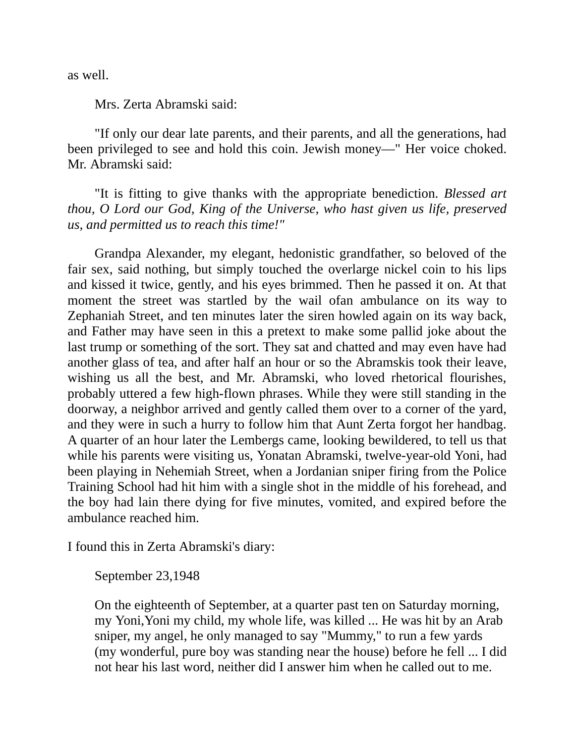as well.

Mrs. Zerta Abramski said:

"If only our dear late parents, and their parents, and all the generations, had been privileged to see and hold this coin. Jewish money—" Her voice choked. Mr. Abramski said:

"It is fitting to give thanks with the appropriate benediction. *Blessed art thou, O Lord our God, King of the Universe, who hast given us life, preserved us, and permitted us to reach this time!"*

Grandpa Alexander, my elegant, hedonistic grandfather, so beloved of the fair sex, said nothing, but simply touched the overlarge nickel coin to his lips and kissed it twice, gently, and his eyes brimmed. Then he passed it on. At that moment the street was startled by the wail ofan ambulance on its way to Zephaniah Street, and ten minutes later the siren howled again on its way back, and Father may have seen in this a pretext to make some pallid joke about the last trump or something of the sort. They sat and chatted and may even have had another glass of tea, and after half an hour or so the Abramskis took their leave, wishing us all the best, and Mr. Abramski, who loved rhetorical flourishes, probably uttered a few high-flown phrases. While they were still standing in the doorway, a neighbor arrived and gently called them over to a corner of the yard, and they were in such a hurry to follow him that Aunt Zerta forgot her handbag. A quarter of an hour later the Lembergs came, looking bewildered, to tell us that while his parents were visiting us, Yonatan Abramski, twelve-year-old Yoni, had been playing in Nehemiah Street, when a Jordanian sniper firing from the Police Training School had hit him with a single shot in the middle of his forehead, and the boy had lain there dying for five minutes, vomited, and expired before the ambulance reached him.

I found this in Zerta Abramski's diary:

September 23,1948

On the eighteenth of September, at a quarter past ten on Saturday morning, my Yoni,Yoni my child, my whole life, was killed ... He was hit by an Arab sniper, my angel, he only managed to say "Mummy," to run a few yards (my wonderful, pure boy was standing near the house) before he fell ... I did not hear his last word, neither did I answer him when he called out to me.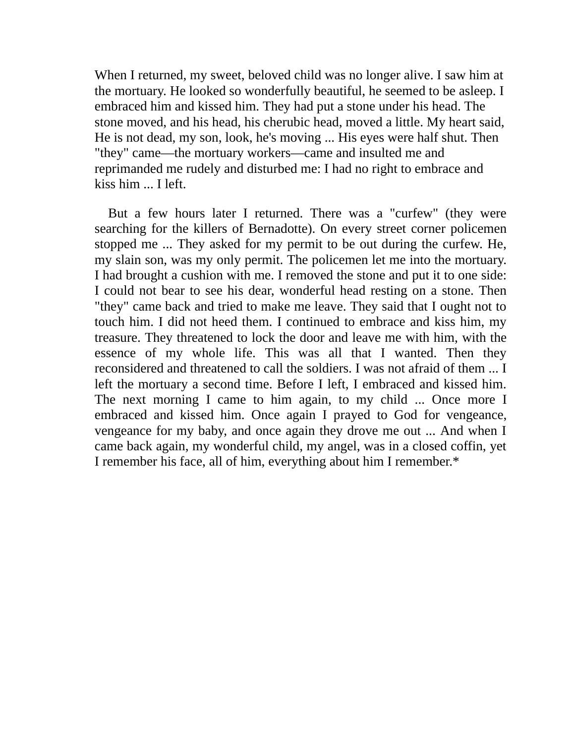When I returned, my sweet, beloved child was no longer alive. I saw him at the mortuary. He looked so wonderfully beautiful, he seemed to be asleep. I embraced him and kissed him. They had put a stone under his head. The stone moved, and his head, his cherubic head, moved a little. My heart said, He is not dead, my son, look, he's moving ... His eyes were half shut. Then "they" came—the mortuary workers—came and insulted me and reprimanded me rudely and disturbed me: I had no right to embrace and kiss him ... I left.

But a few hours later I returned. There was a "curfew" (they were searching for the killers of Bernadotte). On every street corner policemen stopped me ... They asked for my permit to be out during the curfew. He, my slain son, was my only permit. The policemen let me into the mortuary. I had brought a cushion with me. I removed the stone and put it to one side: I could not bear to see his dear, wonderful head resting on a stone. Then "they" came back and tried to make me leave. They said that I ought not to touch him. I did not heed them. I continued to embrace and kiss him, my treasure. They threatened to lock the door and leave me with him, with the essence of my whole life. This was all that I wanted. Then they reconsidered and threatened to call the soldiers. I was not afraid of them ... I left the mortuary a second time. Before I left, I embraced and kissed him. The next morning I came to him again, to my child ... Once more I embraced and kissed him. Once again I prayed to God for vengeance, vengeance for my baby, and once again they drove me out ... And when I came back again, my wonderful child, my angel, was in a closed coffin, yet I remember his face, all of him, everything about him I remember.\*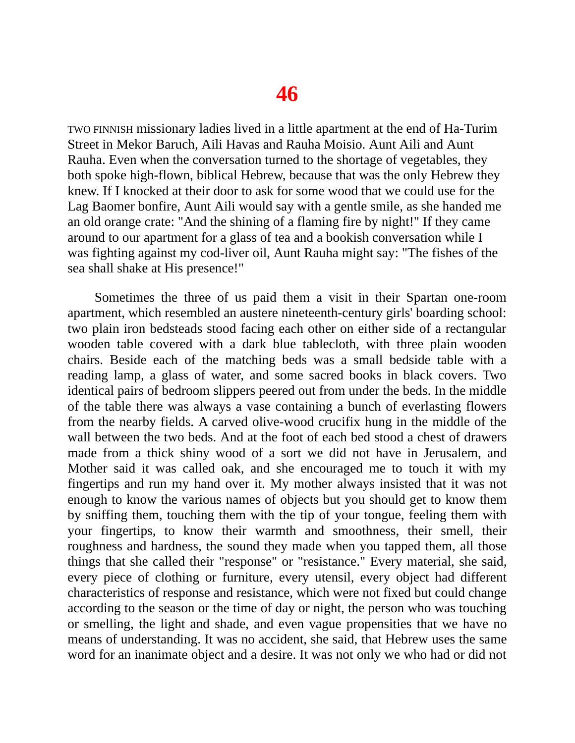TWO FINNISH missionary ladies lived in a little apartment at the end of Ha-Turim Street in Mekor Baruch, Aili Havas and Rauha Moisio. Aunt Aili and Aunt Rauha. Even when the conversation turned to the shortage of vegetables, they both spoke high-flown, biblical Hebrew, because that was the only Hebrew they knew. If I knocked at their door to ask for some wood that we could use for the Lag Baomer bonfire, Aunt Aili would say with a gentle smile, as she handed me an old orange crate: "And the shining of a flaming fire by night!" If they came around to our apartment for a glass of tea and a bookish conversation while I was fighting against my cod-liver oil, Aunt Rauha might say: "The fishes of the sea shall shake at His presence!"

Sometimes the three of us paid them a visit in their Spartan one-room apartment, which resembled an austere nineteenth-century girls' boarding school: two plain iron bedsteads stood facing each other on either side of a rectangular wooden table covered with a dark blue tablecloth, with three plain wooden chairs. Beside each of the matching beds was a small bedside table with a reading lamp, a glass of water, and some sacred books in black covers. Two identical pairs of bedroom slippers peered out from under the beds. In the middle of the table there was always a vase containing a bunch of everlasting flowers from the nearby fields. A carved olive-wood crucifix hung in the middle of the wall between the two beds. And at the foot of each bed stood a chest of drawers made from a thick shiny wood of a sort we did not have in Jerusalem, and Mother said it was called oak, and she encouraged me to touch it with my fingertips and run my hand over it. My mother always insisted that it was not enough to know the various names of objects but you should get to know them by sniffing them, touching them with the tip of your tongue, feeling them with your fingertips, to know their warmth and smoothness, their smell, their roughness and hardness, the sound they made when you tapped them, all those things that she called their "response" or "resistance." Every material, she said, every piece of clothing or furniture, every utensil, every object had different characteristics of response and resistance, which were not fixed but could change according to the season or the time of day or night, the person who was touching or smelling, the light and shade, and even vague propensities that we have no means of understanding. It was no accident, she said, that Hebrew uses the same word for an inanimate object and a desire. It was not only we who had or did not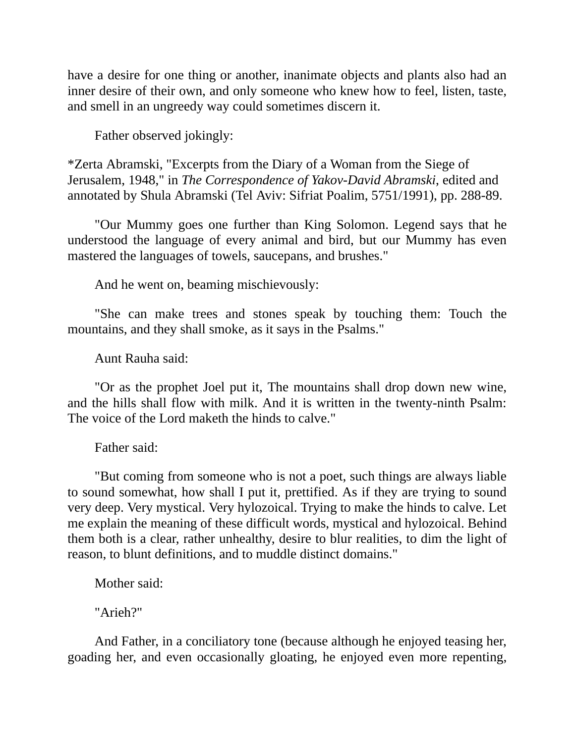have a desire for one thing or another, inanimate objects and plants also had an inner desire of their own, and only someone who knew how to feel, listen, taste, and smell in an ungreedy way could sometimes discern it.

Father observed jokingly:

\*Zerta Abramski, "Excerpts from the Diary of a Woman from the Siege of Jerusalem, 1948," in *The Correspondence of Yakov-David Abramski*, edited and annotated by Shula Abramski (Tel Aviv: Sifriat Poalim, 5751/1991), pp. 288-89.

"Our Mummy goes one further than King Solomon. Legend says that he understood the language of every animal and bird, but our Mummy has even mastered the languages of towels, saucepans, and brushes."

And he went on, beaming mischievously:

"She can make trees and stones speak by touching them: Touch the mountains, and they shall smoke, as it says in the Psalms."

Aunt Rauha said:

"Or as the prophet Joel put it, The mountains shall drop down new wine, and the hills shall flow with milk. And it is written in the twenty-ninth Psalm: The voice of the Lord maketh the hinds to calve."

Father said:

"But coming from someone who is not a poet, such things are always liable to sound somewhat, how shall I put it, prettified. As if they are trying to sound very deep. Very mystical. Very hylozoical. Trying to make the hinds to calve. Let me explain the meaning of these difficult words, mystical and hylozoical. Behind them both is a clear, rather unhealthy, desire to blur realities, to dim the light of reason, to blunt definitions, and to muddle distinct domains."

Mother said:

"Arieh?"

And Father, in a conciliatory tone (because although he enjoyed teasing her, goading her, and even occasionally gloating, he enjoyed even more repenting,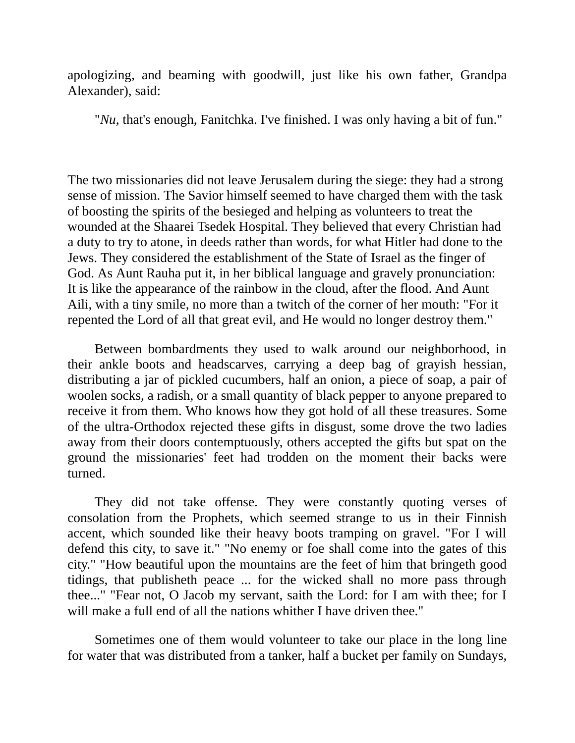apologizing, and beaming with goodwill, just like his own father, Grandpa Alexander), said:

"*Nu*, that's enough, Fanitchka. I've finished. I was only having a bit of fun."

The two missionaries did not leave Jerusalem during the siege: they had a strong sense of mission. The Savior himself seemed to have charged them with the task of boosting the spirits of the besieged and helping as volunteers to treat the wounded at the Shaarei Tsedek Hospital. They believed that every Christian had a duty to try to atone, in deeds rather than words, for what Hitler had done to the Jews. They considered the establishment of the State of Israel as the finger of God. As Aunt Rauha put it, in her biblical language and gravely pronunciation: It is like the appearance of the rainbow in the cloud, after the flood. And Aunt Aili, with a tiny smile, no more than a twitch of the corner of her mouth: "For it repented the Lord of all that great evil, and He would no longer destroy them."

Between bombardments they used to walk around our neighborhood, in their ankle boots and headscarves, carrying a deep bag of grayish hessian, distributing a jar of pickled cucumbers, half an onion, a piece of soap, a pair of woolen socks, a radish, or a small quantity of black pepper to anyone prepared to receive it from them. Who knows how they got hold of all these treasures. Some of the ultra-Orthodox rejected these gifts in disgust, some drove the two ladies away from their doors contemptuously, others accepted the gifts but spat on the ground the missionaries' feet had trodden on the moment their backs were turned.

They did not take offense. They were constantly quoting verses of consolation from the Prophets, which seemed strange to us in their Finnish accent, which sounded like their heavy boots tramping on gravel. "For I will defend this city, to save it." "No enemy or foe shall come into the gates of this city." "How beautiful upon the mountains are the feet of him that bringeth good tidings, that publisheth peace ... for the wicked shall no more pass through thee..." "Fear not, O Jacob my servant, saith the Lord: for I am with thee; for I will make a full end of all the nations whither I have driven thee."

Sometimes one of them would volunteer to take our place in the long line for water that was distributed from a tanker, half a bucket per family on Sundays,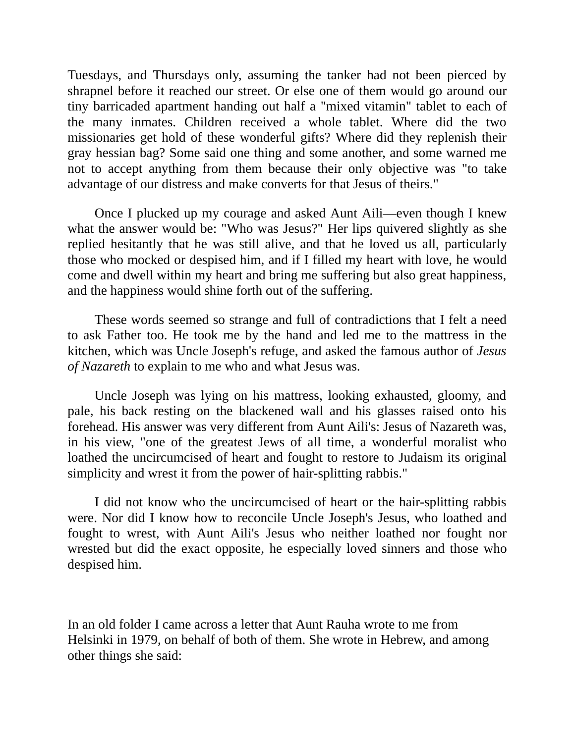Tuesdays, and Thursdays only, assuming the tanker had not been pierced by shrapnel before it reached our street. Or else one of them would go around our tiny barricaded apartment handing out half a "mixed vitamin" tablet to each of the many inmates. Children received a whole tablet. Where did the two missionaries get hold of these wonderful gifts? Where did they replenish their gray hessian bag? Some said one thing and some another, and some warned me not to accept anything from them because their only objective was "to take advantage of our distress and make converts for that Jesus of theirs."

Once I plucked up my courage and asked Aunt Aili—even though I knew what the answer would be: "Who was Jesus?" Her lips quivered slightly as she replied hesitantly that he was still alive, and that he loved us all, particularly those who mocked or despised him, and if I filled my heart with love, he would come and dwell within my heart and bring me suffering but also great happiness, and the happiness would shine forth out of the suffering.

These words seemed so strange and full of contradictions that I felt a need to ask Father too. He took me by the hand and led me to the mattress in the kitchen, which was Uncle Joseph's refuge, and asked the famous author of *Jesus of Nazareth* to explain to me who and what Jesus was.

Uncle Joseph was lying on his mattress, looking exhausted, gloomy, and pale, his back resting on the blackened wall and his glasses raised onto his forehead. His answer was very different from Aunt Aili's: Jesus of Nazareth was, in his view, "one of the greatest Jews of all time, a wonderful moralist who loathed the uncircumcised of heart and fought to restore to Judaism its original simplicity and wrest it from the power of hair-splitting rabbis."

I did not know who the uncircumcised of heart or the hair-splitting rabbis were. Nor did I know how to reconcile Uncle Joseph's Jesus, who loathed and fought to wrest, with Aunt Aili's Jesus who neither loathed nor fought nor wrested but did the exact opposite, he especially loved sinners and those who despised him.

In an old folder I came across a letter that Aunt Rauha wrote to me from Helsinki in 1979, on behalf of both of them. She wrote in Hebrew, and among other things she said: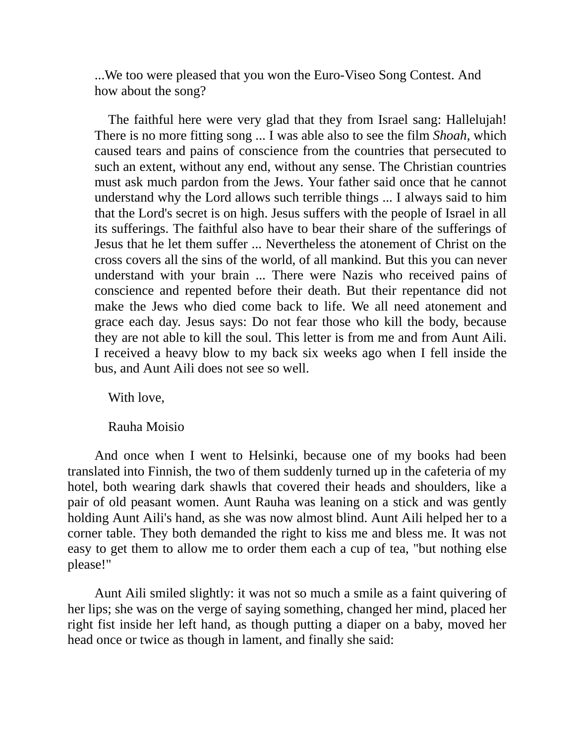...We too were pleased that you won the Euro-Viseo Song Contest. And how about the song?

The faithful here were very glad that they from Israel sang: Hallelujah! There is no more fitting song ... I was able also to see the film *Shoah*, which caused tears and pains of conscience from the countries that persecuted to such an extent, without any end, without any sense. The Christian countries must ask much pardon from the Jews. Your father said once that he cannot understand why the Lord allows such terrible things ... I always said to him that the Lord's secret is on high. Jesus suffers with the people of Israel in all its sufferings. The faithful also have to bear their share of the sufferings of Jesus that he let them suffer ... Nevertheless the atonement of Christ on the cross covers all the sins of the world, of all mankind. But this you can never understand with your brain ... There were Nazis who received pains of conscience and repented before their death. But their repentance did not make the Jews who died come back to life. We all need atonement and grace each day. Jesus says: Do not fear those who kill the body, because they are not able to kill the soul. This letter is from me and from Aunt Aili. I received a heavy blow to my back six weeks ago when I fell inside the bus, and Aunt Aili does not see so well.

With love,

Rauha Moisio

And once when I went to Helsinki, because one of my books had been translated into Finnish, the two of them suddenly turned up in the cafeteria of my hotel, both wearing dark shawls that covered their heads and shoulders, like a pair of old peasant women. Aunt Rauha was leaning on a stick and was gently holding Aunt Aili's hand, as she was now almost blind. Aunt Aili helped her to a corner table. They both demanded the right to kiss me and bless me. It was not easy to get them to allow me to order them each a cup of tea, "but nothing else please!"

Aunt Aili smiled slightly: it was not so much a smile as a faint quivering of her lips; she was on the verge of saying something, changed her mind, placed her right fist inside her left hand, as though putting a diaper on a baby, moved her head once or twice as though in lament, and finally she said: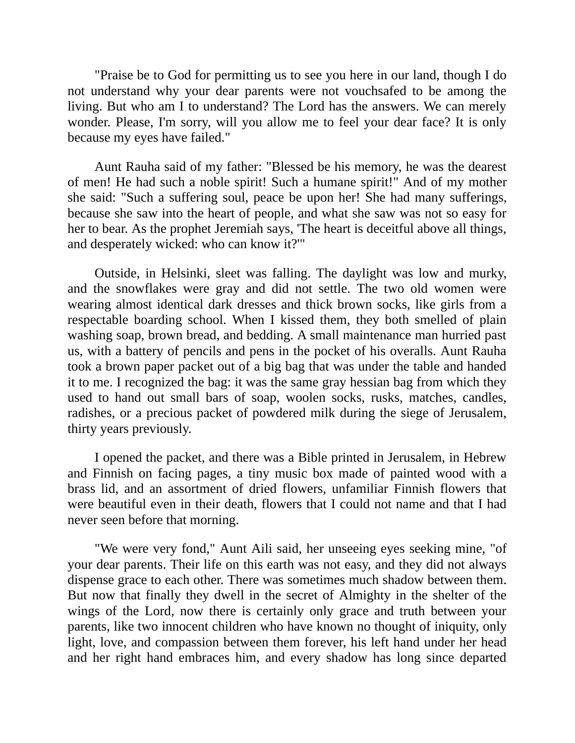"Praise be to God for permitting us to see you here in our land, though I do not understand why your dear parents were not vouchsafed to be among the living. But who am I to understand? The Lord has the answers. We can merely wonder. Please, I'm sorry, will you allow me to feel your dear face? It is only because my eyes have failed."

Aunt Rauha said of my father: "Blessed be his memory, he was the dearest of men! He had such a noble spirit! Such a humane spirit!" And of my mother she said: "Such a suffering soul, peace be upon her! She had many sufferings, because she saw into the heart of people, and what she saw was not so easy for her to bear. As the prophet Jeremiah says, 'The heart is deceitful above all things, and desperately wicked: who can know it?'"

Outside, in Helsinki, sleet was falling. The daylight was low and murky, and the snowflakes were gray and did not settle. The two old women were wearing almost identical dark dresses and thick brown socks, like girls from a respectable boarding school. When I kissed them, they both smelled of plain washing soap, brown bread, and bedding. A small maintenance man hurried past us, with a battery of pencils and pens in the pocket of his overalls. Aunt Rauha took a brown paper packet out of a big bag that was under the table and handed it to me. I recognized the bag: it was the same gray hessian bag from which they used to hand out small bars of soap, woolen socks, rusks, matches, candles, radishes, or a precious packet of powdered milk during the siege of Jerusalem, thirty years previously.

I opened the packet, and there was a Bible printed in Jerusalem, in Hebrew and Finnish on facing pages, a tiny music box made of painted wood with a brass lid, and an assortment of dried flowers, unfamiliar Finnish flowers that were beautiful even in their death, flowers that I could not name and that I had never seen before that morning.

"We were very fond," Aunt Aili said, her unseeing eyes seeking mine, "of your dear parents. Their life on this earth was not easy, and they did not always dispense grace to each other. There was sometimes much shadow between them. But now that finally they dwell in the secret of Almighty in the shelter of the wings of the Lord, now there is certainly only grace and truth between your parents, like two innocent children who have known no thought of iniquity, only light, love, and compassion between them forever, his left hand under her head and her right hand embraces him, and every shadow has long since departed